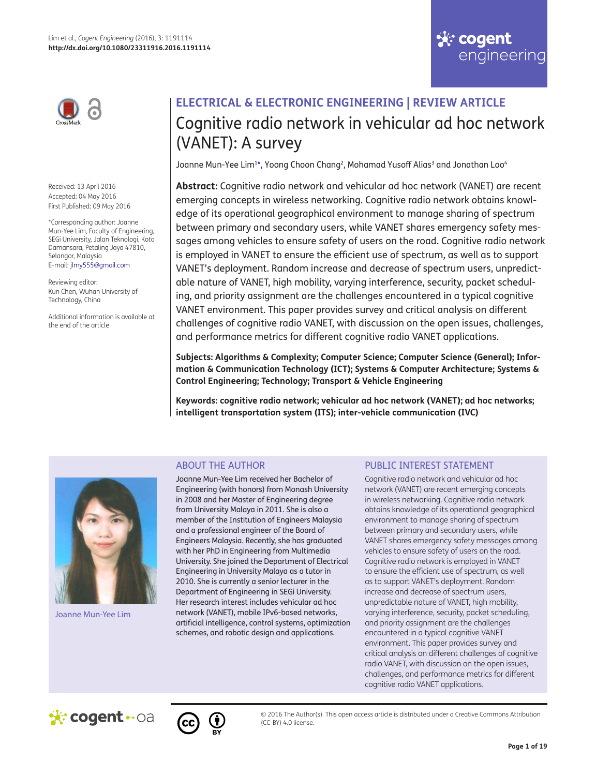

Received: 13 April 2016 Accepted: 04 May 2016 First Published: 09 May 2016

<span id="page-0-0"></span>\*Corresponding author: Joanne Mun-Yee Lim, Faculty of Engineering, SEGi University, Jalan Teknologi, Kota Damansara, Petaling Jaya 47810, Selangor, Malaysia E-mail: [jlmy555@gmail.com](mailto:jlmy555@gmail.com)

Reviewing editor: Kun Chen, Wuhan University of Technology, China

Additional information is available at the end of the article

# **ELECTRICAL & ELECTRONIC ENGINEERING | REVIEW ARTICLE** Cognitive radio network in vehicular ad hoc network (VANET): A survey

<u>%়</u> cogent

engineering

<span id="page-0-1"></span>Joanne Mun-Yee Lim<sup>1\*</sup>, Yoong Choon Chang<sup>2</sup>, Mohamad Yusoff Alias<sup>3</sup> and Jonathan Loo<sup>[4](#page-15-3)</sup>

**Abstract:** Cognitive radio network and vehicular ad hoc network (VANET) are recent emerging concepts in wireless networking. Cognitive radio network obtains knowledge of its operational geographical environment to manage sharing of spectrum between primary and secondary users, while VANET shares emergency safety messages among vehicles to ensure safety of users on the road. Cognitive radio network is employed in VANET to ensure the efficient use of spectrum, as well as to support VANET's deployment. Random increase and decrease of spectrum users, unpredictable nature of VANET, high mobility, varying interference, security, packet scheduling, and priority assignment are the challenges encountered in a typical cognitive VANET environment. This paper provides survey and critical analysis on different challenges of cognitive radio VANET, with discussion on the open issues, challenges, and performance metrics for different cognitive radio VANET applications.

**Subjects: Algorithms & Complexity; Computer Science; Computer Science (General); Information & Communication Technology (ICT); Systems & Computer Architecture; Systems & Control Engineering; Technology; Transport & Vehicle Engineering**

**Keywords: cognitive radio network; vehicular ad hoc network (VANET); ad hoc networks; intelligent transportation system (ITS); inter-vehicle communication (IVC)**

# ABOUT THE AUTHOR

Joanne Mun-Yee Lim

Joanne Mun-Yee Lim received her Bachelor of Engineering (with honors) from Monash University in 2008 and her Master of Engineering degree from University Malaya in 2011. She is also a member of the Institution of Engineers Malaysia and a professional engineer of the Board of Engineers Malaysia. Recently, she has graduated with her PhD in Engineering from Multimedia University. She joined the Department of Electrical Engineering in University Malaya as a tutor in 2010. She is currently a senior lecturer in the Department of Engineering in SEGi University. Her research interest includes vehicular ad hoc network (VANET), mobile IPv6-based networks, artificial intelligence, control systems, optimization schemes, and robotic design and applications.

# PUBLIC INTEREST STATEMENT

Cognitive radio network and vehicular ad hoc network (VANET) are recent emerging concepts in wireless networking. Cognitive radio network obtains knowledge of its operational geographical environment to manage sharing of spectrum between primary and secondary users, while VANET shares emergency safety messages among vehicles to ensure safety of users on the road. Cognitive radio network is employed in VANET to ensure the efficient use of spectrum, as well as to support VANET's deployment. Random increase and decrease of spectrum users, unpredictable nature of VANET, high mobility, varying interference, security, packet scheduling, and priority assignment are the challenges encountered in a typical cognitive VANET environment. This paper provides survey and critical analysis on different challenges of cognitive radio VANET, with discussion on the open issues, challenges, and performance metrics for different cognitive radio VANET applications.





© 2016 The Author(s). This open access article is distributed under a Creative Commons Attribution (CC-BY) 4.0 license.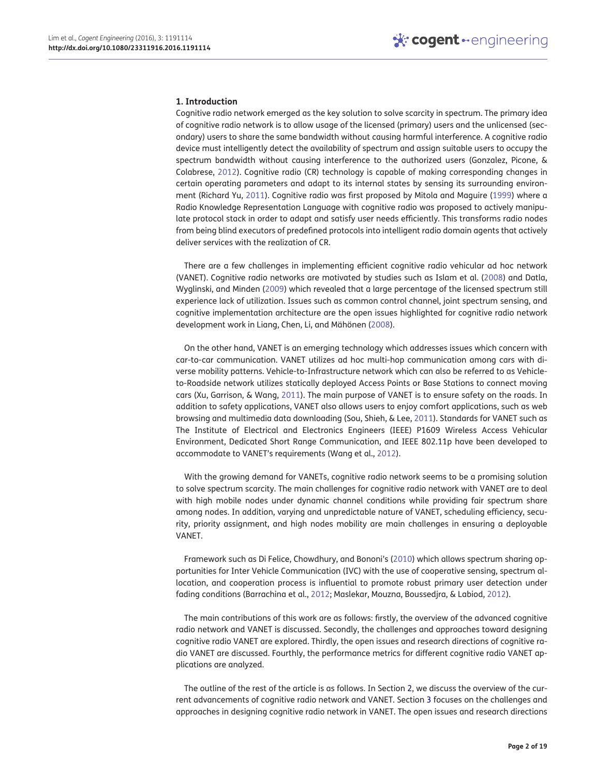#### **1. Introduction**

<span id="page-1-3"></span>Cognitive radio network emerged as the key solution to solve scarcity in spectrum. The primary idea of cognitive radio network is to allow usage of the licensed (primary) users and the unlicensed (secondary) users to share the same bandwidth without causing harmful interference. A cognitive radio device must intelligently detect the availability of spectrum and assign suitable users to occupy the spectrum bandwidth without causing interference to the authorized users (Gonzalez, Picone, & Colabrese, [2012](#page-16-0)). Cognitive radio (CR) technology is capable of making corresponding changes in certain operating parameters and adapt to its internal states by sensing its surrounding environment (Richard Yu, [2011\)](#page-17-0). Cognitive radio was first proposed by Mitola and Maguire ([1999](#page-17-1)) where a Radio Knowledge Representation Language with cognitive radio was proposed to actively manipulate protocol stack in order to adapt and satisfy user needs efficiently. This transforms radio nodes from being blind executors of predefined protocols into intelligent radio domain agents that actively deliver services with the realization of CR.

<span id="page-1-8"></span><span id="page-1-7"></span><span id="page-1-4"></span><span id="page-1-1"></span>There are a few challenges in implementing efficient cognitive radio vehicular ad hoc network (VANET). Cognitive radio networks are motivated by studies such as Islam et al. ([2008](#page-16-1)) and Datla, Wyglinski, and Minden [\(2009\)](#page-16-2) which revealed that a large percentage of the licensed spectrum still experience lack of utilization. Issues such as common control channel, joint spectrum sensing, and cognitive implementation architecture are the open issues highlighted for cognitive radio network development work in Liang, Chen, Li, and Mähönen [\(2008\)](#page-17-2).

<span id="page-1-11"></span><span id="page-1-5"></span>On the other hand, VANET is an emerging technology which addresses issues which concern with car-to-car communication. VANET utilizes ad hoc multi-hop communication among cars with diverse mobility patterns. Vehicle-to-Infrastructure network which can also be referred to as Vehicleto-Roadside network utilizes statically deployed Access Points or Base Stations to connect moving cars (Xu, Garrison, & Wang, [2011](#page-18-0)). The main purpose of VANET is to ensure safety on the roads. In addition to safety applications, VANET also allows users to enjoy comfort applications, such as web browsing and multimedia data downloading (Sou, Shieh, & Lee, [2011\)](#page-18-1). Standards for VANET such as The Institute of Electrical and Electronics Engineers (IEEE) P1609 Wireless Access Vehicular Environment, Dedicated Short Range Communication, and IEEE 802.11p have been developed to accommodate to VANET's requirements (Wang et al., [2012](#page-18-2)).

<span id="page-1-10"></span><span id="page-1-9"></span>With the growing demand for VANETs, cognitive radio network seems to be a promising solution to solve spectrum scarcity. The main challenges for cognitive radio network with VANET are to deal with high mobile nodes under dynamic channel conditions while providing fair spectrum share among nodes. In addition, varying and unpredictable nature of VANET, scheduling efficiency, security, priority assignment, and high nodes mobility are main challenges in ensuring a deployable VANET.

<span id="page-1-2"></span>Framework such as Di Felice, Chowdhury, and Bononi's [\(2010](#page-16-3)) which allows spectrum sharing opportunities for Inter Vehicle Communication (IVC) with the use of cooperative sensing, spectrum allocation, and cooperation process is influential to promote robust primary user detection under fading conditions (Barrachina et al., [2012](#page-16-4); Maslekar, Mouzna, Boussedjra, & Labiod, [2012\)](#page-17-3).

<span id="page-1-6"></span><span id="page-1-0"></span>The main contributions of this work are as follows: firstly, the overview of the advanced cognitive radio network and VANET is discussed. Secondly, the challenges and approaches toward designing cognitive radio VANET are explored. Thirdly, the open issues and research directions of cognitive radio VANET are discussed. Fourthly, the performance metrics for different cognitive radio VANET applications are analyzed.

The outline of the rest of the article is as follows. In Section [2](#page-2-0), we discuss the overview of the current advancements of cognitive radio network and VANET. Section [3](#page-8-0) focuses on the challenges and approaches in designing cognitive radio network in VANET. The open issues and research directions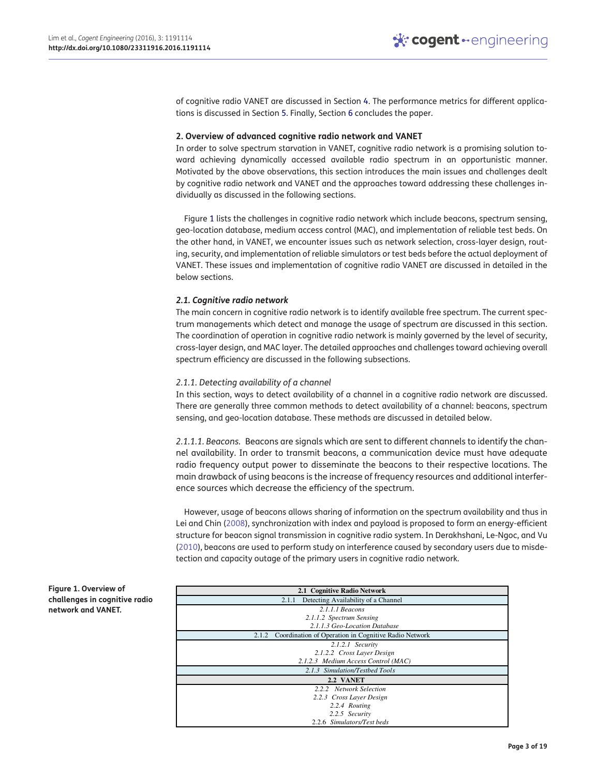<span id="page-2-0"></span>of cognitive radio VANET are discussed in Section [4.](#page-11-0) The performance metrics for different applications is discussed in Section [5.](#page-13-0) Finally, Section [6](#page-15-4) concludes the paper.

## **2. Overview of advanced cognitive radio network and VANET**

In order to solve spectrum starvation in VANET, cognitive radio network is a promising solution toward achieving dynamically accessed available radio spectrum in an opportunistic manner. Motivated by the above observations, this section introduces the main issues and challenges dealt by cognitive radio network and VANET and the approaches toward addressing these challenges individually as discussed in the following sections.

Figure [1](#page-2-1) lists the challenges in cognitive radio network which include beacons, spectrum sensing, geo-location database, medium access control (MAC), and implementation of reliable test beds. On the other hand, in VANET, we encounter issues such as network selection, cross-layer design, routing, security, and implementation of reliable simulators or test beds before the actual deployment of VANET. These issues and implementation of cognitive radio VANET are discussed in detailed in the below sections.

## *2.1. Cognitive radio network*

The main concern in cognitive radio network is to identify available free spectrum. The current spectrum managements which detect and manage the usage of spectrum are discussed in this section. The coordination of operation in cognitive radio network is mainly governed by the level of security, cross-layer design, and MAC layer. The detailed approaches and challenges toward achieving overall spectrum efficiency are discussed in the following subsections.

## *2.1.1. Detecting availability of a channel*

In this section, ways to detect availability of a channel in a cognitive radio network are discussed. There are generally three common methods to detect availability of a channel: beacons, spectrum sensing, and geo-location database. These methods are discussed in detailed below.

*2.1.1.1. Beacons.* Beacons are signals which are sent to different channels to identify the channel availability. In order to transmit beacons, a communication device must have adequate radio frequency output power to disseminate the beacons to their respective locations. The main drawback of using beacons is the increase of frequency resources and additional interference sources which decrease the efficiency of the spectrum.

<span id="page-2-3"></span><span id="page-2-2"></span>However, usage of beacons allows sharing of information on the spectrum availability and thus in Lei and Chin [\(2008\)](#page-17-4), synchronization with index and payload is proposed to form an energy-efficient structure for beacon signal transmission in cognitive radio system. In Derakhshani, Le-Ngoc, and Vu ([2010](#page-16-5)), beacons are used to perform study on interference caused by secondary users due to misdetection and capacity outage of the primary users in cognitive radio network.

|       | 2.1 Cognitive Radio Network                          |  |
|-------|------------------------------------------------------|--|
|       | Detecting Availability of a Channel<br>2.1.1         |  |
|       | 2.1.1.1 Beacons                                      |  |
|       | 2.1.1.2 Spectrum Sensing                             |  |
|       | 2.1.1.3 Geo-Location Database                        |  |
| 2.1.2 | Coordination of Operation in Cognitive Radio Network |  |
|       | 2.1.2.1 Security                                     |  |
|       | 2.1.2.2 Cross Layer Design                           |  |
|       | 2.1.2.3 Medium Access Control (MAC)                  |  |
|       | 2.1.3 Simulation/Testbed Tools                       |  |
|       | 2.2 VANET                                            |  |
|       | 2.2.2 Network Selection                              |  |
|       | 2.2.3 Cross Layer Design                             |  |
|       | 2.2.4 Routing                                        |  |
|       | 2.2.5 Security                                       |  |
|       | 2.2.6 Simulators/Test beds                           |  |

<span id="page-2-1"></span>**Figure 1. Overview of challenges in cognitive radio network and VANET.**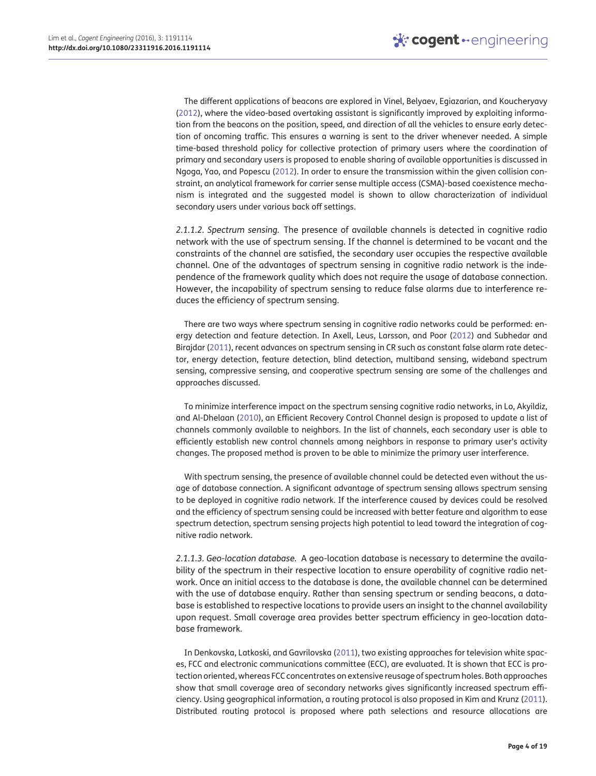<span id="page-3-6"></span>The different applications of beacons are explored in Vinel, Belyaev, Egiazarian, and Koucheryavy ([2012](#page-18-3)), where the video-based overtaking assistant is significantly improved by exploiting information from the beacons on the position, speed, and direction of all the vehicles to ensure early detection of oncoming traffic. This ensures a warning is sent to the driver whenever needed. A simple time-based threshold policy for collective protection of primary users where the coordination of primary and secondary users is proposed to enable sharing of available opportunities is discussed in Ngoga, Yao, and Popescu [\(2012\)](#page-17-5). In order to ensure the transmission within the given collision constraint, an analytical framework for carrier sense multiple access (CSMA)-based coexistence mechanism is integrated and the suggested model is shown to allow characterization of individual secondary users under various back off settings.

<span id="page-3-4"></span>*2.1.1.2. Spectrum sensing.* The presence of available channels is detected in cognitive radio network with the use of spectrum sensing. If the channel is determined to be vacant and the constraints of the channel are satisfied, the secondary user occupies the respective available channel. One of the advantages of spectrum sensing in cognitive radio network is the independence of the framework quality which does not require the usage of database connection. However, the incapability of spectrum sensing to reduce false alarms due to interference reduces the efficiency of spectrum sensing.

<span id="page-3-5"></span><span id="page-3-0"></span>There are two ways where spectrum sensing in cognitive radio networks could be performed: energy detection and feature detection. In Axell, Leus, Larsson, and Poor ([2012](#page-15-5)) and Subhedar and Birajdar [\(2011\)](#page-18-4), recent advances on spectrum sensing in CR such as constant false alarm rate detector, energy detection, feature detection, blind detection, multiband sensing, wideband spectrum sensing, compressive sensing, and cooperative spectrum sensing are some of the challenges and approaches discussed.

<span id="page-3-3"></span>To minimize interference impact on the spectrum sensing cognitive radio networks, in Lo, Akyildiz, and Al-Dhelaan ([2010](#page-17-6)), an Efficient Recovery Control Channel design is proposed to update a list of channels commonly available to neighbors. In the list of channels, each secondary user is able to efficiently establish new control channels among neighbors in response to primary user's activity changes. The proposed method is proven to be able to minimize the primary user interference.

With spectrum sensing, the presence of available channel could be detected even without the usage of database connection. A significant advantage of spectrum sensing allows spectrum sensing to be deployed in cognitive radio network. If the interference caused by devices could be resolved and the efficiency of spectrum sensing could be increased with better feature and algorithm to ease spectrum detection, spectrum sensing projects high potential to lead toward the integration of cognitive radio network.

*2.1.1.3. Geo-location database.* A geo-location database is necessary to determine the availability of the spectrum in their respective location to ensure operability of cognitive radio network. Once an initial access to the database is done, the available channel can be determined with the use of database enquiry. Rather than sensing spectrum or sending beacons, a database is established to respective locations to provide users an insight to the channel availability upon request. Small coverage area provides better spectrum efficiency in geo-location database framework.

<span id="page-3-2"></span><span id="page-3-1"></span>In Denkovska, Latkoski, and Gavrilovska ([2011](#page-16-6)), two existing approaches for television white spaces, FCC and electronic communications committee (ECC), are evaluated. It is shown that ECC is protection oriented, whereas FCC concentrates on extensive reusage of spectrum holes. Both approaches show that small coverage area of secondary networks gives significantly increased spectrum efficiency. Using geographical information, a routing protocol is also proposed in Kim and Krunz ([2011](#page-17-7)). Distributed routing protocol is proposed where path selections and resource allocations are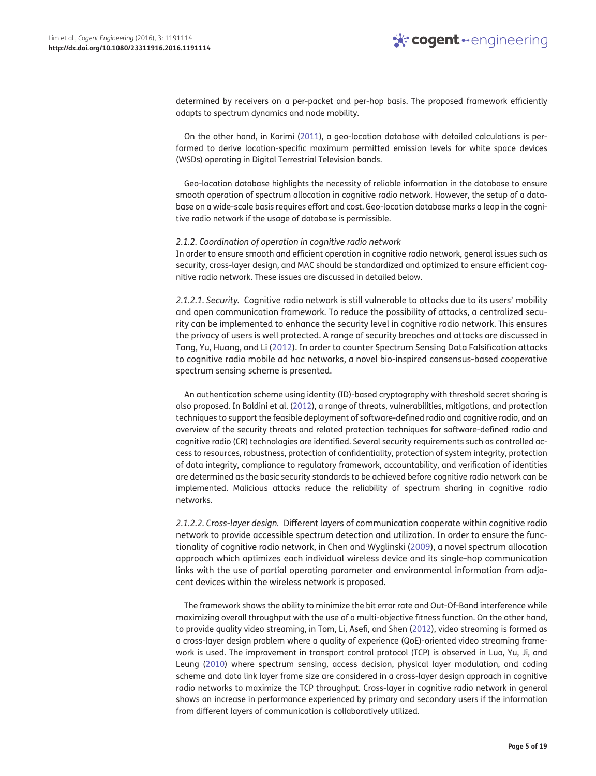determined by receivers on a per-packet and per-hop basis. The proposed framework efficiently adapts to spectrum dynamics and node mobility.

<span id="page-4-2"></span>On the other hand, in Karimi ([2011](#page-17-8)), a geo-location database with detailed calculations is performed to derive location-specific maximum permitted emission levels for white space devices (WSDs) operating in Digital Terrestrial Television bands.

Geo-location database highlights the necessity of reliable information in the database to ensure smooth operation of spectrum allocation in cognitive radio network. However, the setup of a database on a wide-scale basis requires effort and cost. Geo-location database marks a leap in the cognitive radio network if the usage of database is permissible.

*2.1.2. Coordination of operation in cognitive radio network*

In order to ensure smooth and efficient operation in cognitive radio network, general issues such as security, cross-layer design, and MAC should be standardized and optimized to ensure efficient cognitive radio network. These issues are discussed in detailed below.

<span id="page-4-4"></span>*2.1.2.1. Security.* Cognitive radio network is still vulnerable to attacks due to its users' mobility and open communication framework. To reduce the possibility of attacks, a centralized security can be implemented to enhance the security level in cognitive radio network. This ensures the privacy of users is well protected. A range of security breaches and attacks are discussed in Tang, Yu, Huang, and Li [\(2012\)](#page-18-5). In order to counter Spectrum Sensing Data Falsification attacks to cognitive radio mobile ad hoc networks, a novel bio-inspired consensus-based cooperative spectrum sensing scheme is presented.

<span id="page-4-0"></span>An authentication scheme using identity (ID)-based cryptography with threshold secret sharing is also proposed. In Baldini et al. ([2012\)](#page-15-6), a range of threats, vulnerabilities, mitigations, and protection techniques to support the feasible deployment of software-defined radio and cognitive radio, and an overview of the security threats and related protection techniques for software-defined radio and cognitive radio (CR) technologies are identified. Several security requirements such as controlled access to resources, robustness, protection of confidentiality, protection of system integrity, protection of data integrity, compliance to regulatory framework, accountability, and verification of identities are determined as the basic security standards to be achieved before cognitive radio network can be implemented. Malicious attacks reduce the reliability of spectrum sharing in cognitive radio networks.

<span id="page-4-1"></span>*2.1.2.2. Cross-layer design.* Different layers of communication cooperate within cognitive radio network to provide accessible spectrum detection and utilization. In order to ensure the functionality of cognitive radio network, in Chen and Wyglinski ([2009](#page-16-7)), a novel spectrum allocation approach which optimizes each individual wireless device and its single-hop communication links with the use of partial operating parameter and environmental information from adjacent devices within the wireless network is proposed.

<span id="page-4-5"></span><span id="page-4-3"></span>The framework shows the ability to minimize the bit error rate and Out-Of-Band interference while maximizing overall throughput with the use of a multi-objective fitness function. On the other hand, to provide quality video streaming, in Tom, Li, Asefi, and Shen ([2012](#page-18-6)), video streaming is formed as a cross-layer design problem where a quality of experience (QoE)-oriented video streaming framework is used. The improvement in transport control protocol (TCP) is observed in Luo, Yu, Ji, and Leung [\(2010\)](#page-17-9) where spectrum sensing, access decision, physical layer modulation, and coding scheme and data link layer frame size are considered in a cross-layer design approach in cognitive radio networks to maximize the TCP throughput. Cross-layer in cognitive radio network in general shows an increase in performance experienced by primary and secondary users if the information from different layers of communication is collaboratively utilized.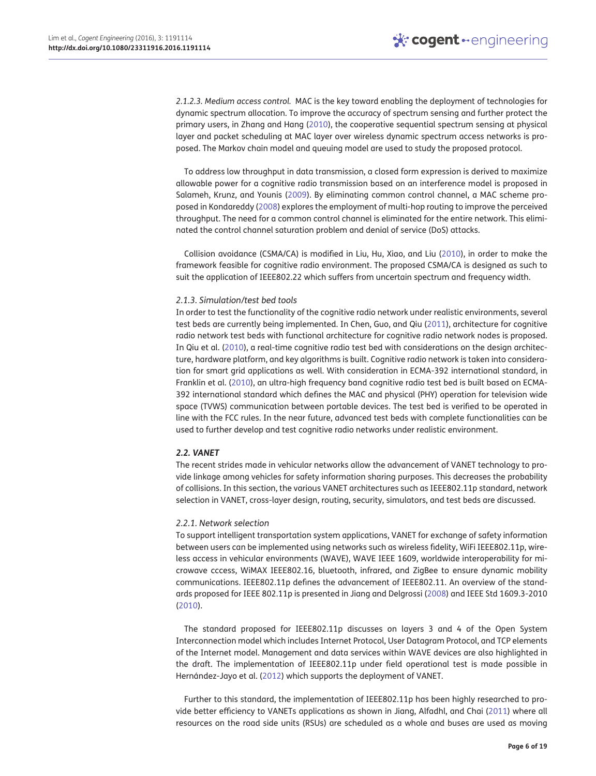<span id="page-5-10"></span>*2.1.2.3. Medium access control.* MAC is the key toward enabling the deployment of technologies for dynamic spectrum allocation. To improve the accuracy of spectrum sensing and further protect the primary users, in Zhang and Hang ([2010](#page-18-7)), the cooperative sequential spectrum sensing at physical layer and packet scheduling at MAC layer over wireless dynamic spectrum access networks is proposed. The Markov chain model and queuing model are used to study the proposed protocol.

<span id="page-5-9"></span><span id="page-5-6"></span>To address low throughput in data transmission, a closed form expression is derived to maximize allowable power for a cognitive radio transmission based on an interference model is proposed in Salameh, Krunz, and Younis [\(2009\)](#page-18-8). By eliminating common control channel, a MAC scheme proposed in Kondareddy [\(2008\)](#page-17-10) explores the employment of multi-hop routing to improve the perceived throughput. The need for a common control channel is eliminated for the entire network. This eliminated the control channel saturation problem and denial of service (DoS) attacks.

<span id="page-5-7"></span>Collision avoidance (CSMA/CA) is modified in Liu, Hu, Xiao, and Liu ([2010](#page-17-11)), in order to make the framework feasible for cognitive radio environment. The proposed CSMA/CA is designed as such to suit the application of IEEE802.22 which suffers from uncertain spectrum and frequency width.

#### *2.1.3. Simulation/test bed tools*

<span id="page-5-8"></span><span id="page-5-1"></span><span id="page-5-0"></span>In order to test the functionality of the cognitive radio network under realistic environments, several test beds are currently being implemented. In Chen, Guo, and Qiu ([2011](#page-16-8)), architecture for cognitive radio network test beds with functional architecture for cognitive radio network nodes is proposed. In Qiu et al. ([2010](#page-17-12)), a real-time cognitive radio test bed with considerations on the design architecture, hardware platform, and key algorithms is built. Cognitive radio network is taken into consideration for smart grid applications as well. With consideration in ECMA-392 international standard, in Franklin et al. ([2010](#page-16-9)), an ultra-high frequency band cognitive radio test bed is built based on ECMA-392 international standard which defines the MAC and physical (PHY) operation for television wide space (TVWS) communication between portable devices. The test bed is verified to be operated in line with the FCC rules. In the near future, advanced test beds with complete functionalities can be used to further develop and test cognitive radio networks under realistic environment.

## *2.2. VANET*

The recent strides made in vehicular networks allow the advancement of VANET technology to provide linkage among vehicles for safety information sharing purposes. This decreases the probability of collisions. In this section, the various VANET architectures such as IEEE802.11p standard, network selection in VANET, cross-layer design, routing, security, simulators, and test beds are discussed.

## *2.2.1. Network selection*

To support intelligent transportation system applications, VANET for exchange of safety information between users can be implemented using networks such as wireless fidelity, WiFi IEEE802.11p, wireless access in vehicular environments (WAVE), WAVE IEEE 1609, worldwide interoperability for microwave cccess, WiMAX IEEE802.16, bluetooth, infrared, and ZigBee to ensure dynamic mobility communications. IEEE802.11p defines the advancement of IEEE802.11. An overview of the standards proposed for IEEE 802.11p is presented in Jiang and Delgrossi ([2008](#page-16-10)) and IEEE Std 1609.3-2010 ([2010](#page-16-11)).

<span id="page-5-4"></span><span id="page-5-3"></span>The standard proposed for IEEE802.11p discusses on layers 3 and 4 of the Open System Interconnection model which includes Internet Protocol, User Datagram Protocol, and TCP elements of the Internet model. Management and data services within WAVE devices are also highlighted in the draft. The implementation of IEEE802.11p under field operational test is made possible in Hernández-Jayo et al. [\(2012\)](#page-16-12) which supports the deployment of VANET.

<span id="page-5-5"></span><span id="page-5-2"></span>Further to this standard, the implementation of IEEE802.11p has been highly researched to provide better efficiency to VANETs applications as shown in Jiang, Alfadhl, and Chai ([2011\)](#page-17-13) where all resources on the road side units (RSUs) are scheduled as a whole and buses are used as moving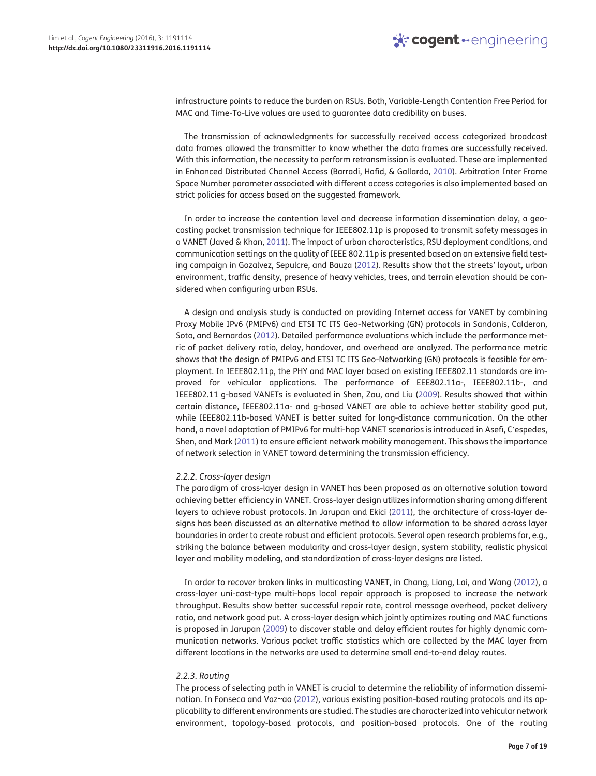infrastructure points to reduce the burden on RSUs. Both, Variable-Length Contention Free Period for MAC and Time-To-Live values are used to guarantee data credibility on buses.

<span id="page-6-1"></span>The transmission of acknowledgments for successfully received access categorized broadcast data frames allowed the transmitter to know whether the data frames are successfully received. With this information, the necessity to perform retransmission is evaluated. These are implemented in Enhanced Distributed Channel Access (Barradi, Hafid, & Gallardo, [2010](#page-16-13)). Arbitration Inter Frame Space Number parameter associated with different access categories is also implemented based on strict policies for access based on the suggested framework.

<span id="page-6-7"></span><span id="page-6-4"></span>In order to increase the contention level and decrease information dissemination delay, a geocasting packet transmission technique for IEEE802.11p is proposed to transmit safety messages in a VANET (Javed & Khan, [2011\)](#page-16-14). The impact of urban characteristics, RSU deployment conditions, and communication settings on the quality of IEEE 802.11p is presented based on an extensive field testing campaign in Gozalvez, Sepulcre, and Bauza [\(2012\)](#page-16-15). Results show that the streets' layout, urban environment, traffic density, presence of heavy vehicles, trees, and terrain elevation should be considered when configuring urban RSUs.

<span id="page-6-9"></span><span id="page-6-8"></span>A design and analysis study is conducted on providing Internet access for VANET by combining Proxy Mobile IPv6 (PMIPv6) and ETSI TC ITS Geo-Networking (GN) protocols in Sandonis, Calderon, Soto, and Bernardos ([2012](#page-18-9)). Detailed performance evaluations which include the performance metric of packet delivery ratio, delay, handover, and overhead are analyzed. The performance metric shows that the design of PMIPv6 and ETSI TC ITS Geo-Networking (GN) protocols is feasible for employment. In IEEE802.11p, the PHY and MAC layer based on existing IEEE802.11 standards are improved for vehicular applications. The performance of EEE802.11a-, IEEE802.11b-, and IEEE802.11 g-based VANETs is evaluated in Shen, Zou, and Liu ([2009](#page-18-10)). Results showed that within certain distance, IEEE802.11a- and g-based VANET are able to achieve better stability good put, while IEEE802.11b-based VANET is better suited for long-distance communication. On the other hand, a novel adaptation of PMIPv6 for multi-hop VANET scenarios is introduced in Asefi, C′espedes, Shen, and Mark [\(2011\)](#page-15-7) to ensure efficient network mobility management. This shows the importance of network selection in VANET toward determining the transmission efficiency.

#### <span id="page-6-0"></span>*2.2.2. Cross-layer design*

<span id="page-6-6"></span>The paradigm of cross-layer design in VANET has been proposed as an alternative solution toward achieving better efficiency in VANET. Cross-layer design utilizes information sharing among different layers to achieve robust protocols. In Jarupan and Ekici [\(2011\)](#page-16-16), the architecture of cross-layer designs has been discussed as an alternative method to allow information to be shared across layer boundaries in order to create robust and efficient protocols. Several open research problems for, e.g., striking the balance between modularity and cross-layer design, system stability, realistic physical layer and mobility modeling, and standardization of cross-layer designs are listed.

<span id="page-6-5"></span><span id="page-6-2"></span>In order to recover broken links in multicasting VANET, in Chang, Liang, Lai, and Wang [\(2012\)](#page-16-17), a cross-layer uni-cast-type multi-hops local repair approach is proposed to increase the network throughput. Results show better successful repair rate, control message overhead, packet delivery ratio, and network good put. A cross-layer design which jointly optimizes routing and MAC functions is proposed in Jarupan ([2009](#page-16-18)) to discover stable and delay efficient routes for highly dynamic communication networks. Various packet traffic statistics which are collected by the MAC layer from different locations in the networks are used to determine small end-to-end delay routes.

#### *2.2.3. Routing*

<span id="page-6-3"></span>The process of selecting path in VANET is crucial to determine the reliability of information dissemination. In Fonseca and Vaz~ao [\(2012\)](#page-16-19), various existing position-based routing protocols and its applicability to different environments are studied. The studies are characterized into vehicular network environment, topology-based protocols, and position-based protocols. One of the routing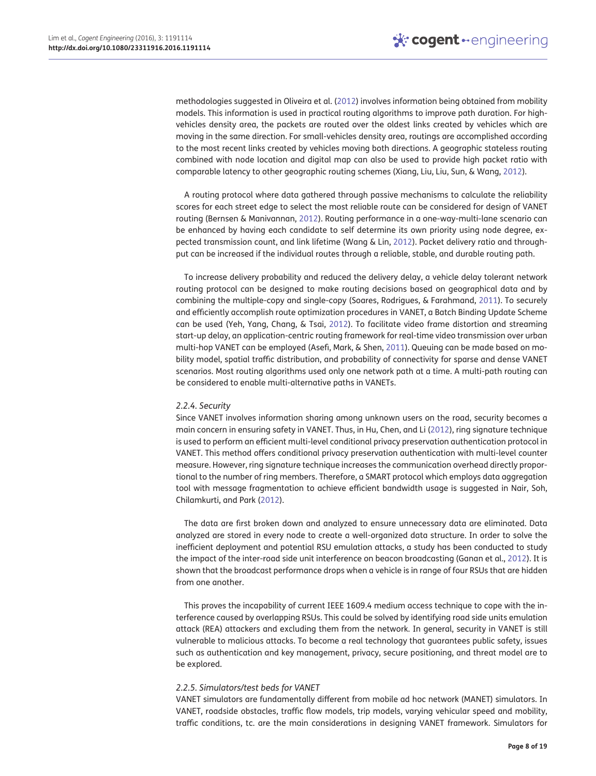<span id="page-7-4"></span>methodologies suggested in Oliveira et al. ([2012\)](#page-17-14) involves information being obtained from mobility models. This information is used in practical routing algorithms to improve path duration. For highvehicles density area, the packets are routed over the oldest links created by vehicles which are moving in the same direction. For small-vehicles density area, routings are accomplished according to the most recent links created by vehicles moving both directions. A geographic stateless routing combined with node location and digital map can also be used to provide high packet ratio with comparable latency to other geographic routing schemes (Xiang, Liu, Liu, Sun, & Wang, [2012](#page-18-11)).

<span id="page-7-8"></span><span id="page-7-1"></span>A routing protocol where data gathered through passive mechanisms to calculate the reliability scores for each street edge to select the most reliable route can be considered for design of VANET routing (Bernsen & Manivannan, [2012](#page-16-20)). Routing performance in a one-way-multi-lane scenario can be enhanced by having each candidate to self determine its own priority using node degree, expected transmission count, and link lifetime (Wang & Lin, [2012\)](#page-18-12). Packet delivery ratio and throughput can be increased if the individual routes through a reliable, stable, and durable routing path.

<span id="page-7-9"></span><span id="page-7-6"></span><span id="page-7-5"></span>To increase delivery probability and reduced the delivery delay, a vehicle delay tolerant network routing protocol can be designed to make routing decisions based on geographical data and by combining the multiple-copy and single-copy (Soares, Rodrigues, & Farahmand, [2011](#page-18-13)). To securely and efficiently accomplish route optimization procedures in VANET, a Batch Binding Update Scheme can be used (Yeh, Yang, Chang, & Tsai, [2012\)](#page-18-14). To facilitate video frame distortion and streaming start-up delay, an application-centric routing framework for real-time video transmission over urban multi-hop VANET can be employed (Asefi, Mark, & Shen, [2011](#page-15-8)). Queuing can be made based on mobility model, spatial traffic distribution, and probability of connectivity for sparse and dense VANET scenarios. Most routing algorithms used only one network path at a time. A multi-path routing can be considered to enable multi-alternative paths in VANETs.

#### <span id="page-7-0"></span>*2.2.4. Security*

<span id="page-7-7"></span>Since VANET involves information sharing among unknown users on the road, security becomes a main concern in ensuring safety in VANET. Thus, in Hu, Chen, and Li [\(2012\)](#page-18-15), ring signature technique is used to perform an efficient multi-level conditional privacy preservation authentication protocol in VANET. This method offers conditional privacy preservation authentication with multi-level counter measure. However, ring signature technique increases the communication overhead directly proportional to the number of ring members. Therefore, a SMART protocol which employs data aggregation tool with message fragmentation to achieve efficient bandwidth usage is suggested in Nair, Soh, Chilamkurti, and Park [\(2012\)](#page-17-15).

<span id="page-7-3"></span><span id="page-7-2"></span>The data are first broken down and analyzed to ensure unnecessary data are eliminated. Data analyzed are stored in every node to create a well-organized data structure. In order to solve the inefficient deployment and potential RSU emulation attacks, a study has been conducted to study the impact of the inter-road side unit interference on beacon broadcasting (Ganan et al., [2012\)](#page-16-21). It is shown that the broadcast performance drops when a vehicle is in range of four RSUs that are hidden from one another.

This proves the incapability of current IEEE 1609.4 medium access technique to cope with the interference caused by overlapping RSUs. This could be solved by identifying road side units emulation attack (REA) attackers and excluding them from the network. In general, security in VANET is still vulnerable to malicious attacks. To become a real technology that guarantees public safety, issues such as authentication and key management, privacy, secure positioning, and threat model are to be explored.

#### *2.2.5. Simulators/test beds for VANET*

VANET simulators are fundamentally different from mobile ad hoc network (MANET) simulators. In VANET, roadside obstacles, traffic flow models, trip models, varying vehicular speed and mobility, traffic conditions, tc. are the main considerations in designing VANET framework. Simulators for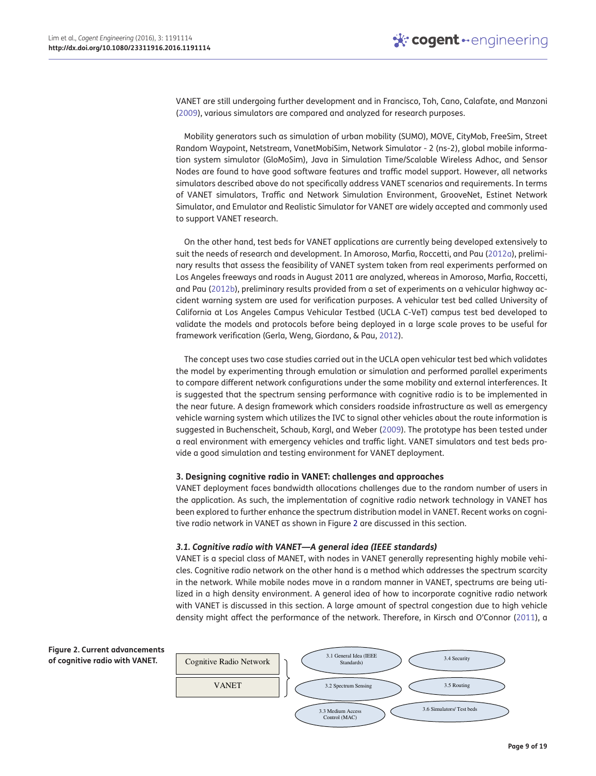<span id="page-8-5"></span>VANET are still undergoing further development and in Francisco, Toh, Cano, Calafate, and Manzoni ([2009](#page-16-22)), various simulators are compared and analyzed for research purposes.

Mobility generators such as simulation of urban mobility (SUMO), MOVE, CityMob, FreeSim, Street Random Waypoint, Netstream, VanetMobiSim, Network Simulator - 2 (ns-2), global mobile information system simulator (GloMoSim), Java in Simulation Time/Scalable Wireless Adhoc, and Sensor Nodes are found to have good software features and traffic model support. However, all networks simulators described above do not specifically address VANET scenarios and requirements. In terms of VANET simulators, Traffic and Network Simulation Environment, GrooveNet, Estinet Network Simulator, and Emulator and Realistic Simulator for VANET are widely accepted and commonly used to support VANET research.

<span id="page-8-3"></span><span id="page-8-2"></span>On the other hand, test beds for VANET applications are currently being developed extensively to suit the needs of research and development. In Amoroso, Marfia, Roccetti, and Pau [\(2012a](#page-15-9)), preliminary results that assess the feasibility of VANET system taken from real experiments performed on Los Angeles freeways and roads in August 2011 are analyzed, whereas in Amoroso, Marfia, Roccetti, and Pau [\(2012b](#page-15-10)), preliminary results provided from a set of experiments on a vehicular highway accident warning system are used for verification purposes. A vehicular test bed called University of California at Los Angeles Campus Vehicular Testbed (UCLA C-VeT) campus test bed developed to validate the models and protocols before being deployed in a large scale proves to be useful for framework verification (Gerla, Weng, Giordano, & Pau, [2012](#page-16-23)).

<span id="page-8-6"></span>The concept uses two case studies carried out in the UCLA open vehicular test bed which validates the model by experimenting through emulation or simulation and performed parallel experiments to compare different network configurations under the same mobility and external interferences. It is suggested that the spectrum sensing performance with cognitive radio is to be implemented in the near future. A design framework which considers roadside infrastructure as well as emergency vehicle warning system which utilizes the IVC to signal other vehicles about the route information is suggested in Buchenscheit, Schaub, Kargl, and Weber ([2009](#page-16-24)). The prototype has been tested under a real environment with emergency vehicles and traffic light. VANET simulators and test beds provide a good simulation and testing environment for VANET deployment.

## <span id="page-8-4"></span><span id="page-8-0"></span>**3. Designing cognitive radio in VANET: challenges and approaches**

VANET deployment faces bandwidth allocations challenges due to the random number of users in the application. As such, the implementation of cognitive radio network technology in VANET has been explored to further enhance the spectrum distribution model in VANET. Recent works on cognitive radio network in VANET as shown in Figure [2](#page-8-1) are discussed in this section.

#### *3.1. Cognitive radio with VANET—A general idea (IEEE standards)*

<span id="page-8-7"></span>VANET is a special class of MANET, with nodes in VANET generally representing highly mobile vehicles. Cognitive radio network on the other hand is a method which addresses the spectrum scarcity in the network. While mobile nodes move in a random manner in VANET, spectrums are being utilized in a high density environment. A general idea of how to incorporate cognitive radio network with VANET is discussed in this section. A large amount of spectral congestion due to high vehicle density might affect the performance of the network. Therefore, in Kirsch and O'Connor ([2011](#page-17-16)), a

<span id="page-8-1"></span>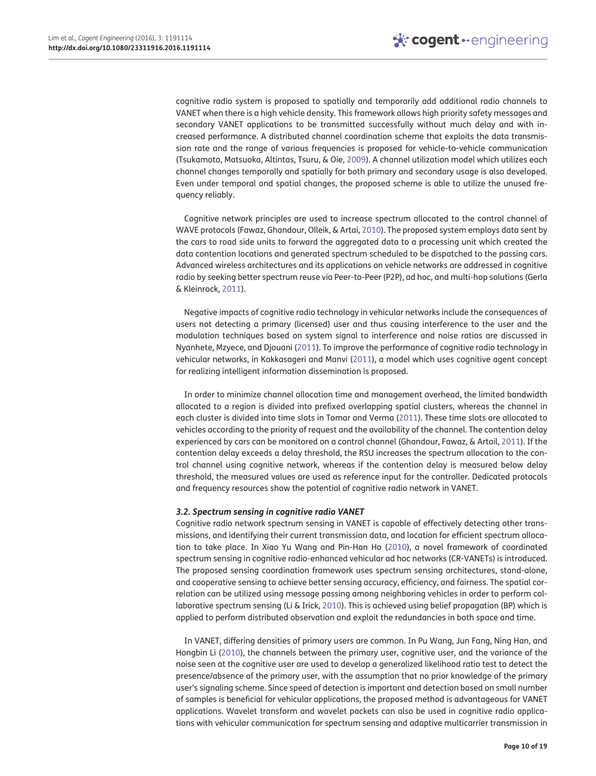<span id="page-9-8"></span>cognitive radio system is proposed to spatially and temporarily add additional radio channels to VANET when there is a high vehicle density. This framework allows high priority safety messages and secondary VANET applications to be transmitted successfully without much delay and with increased performance. A distributed channel coordination scheme that exploits the data transmission rate and the range of various frequencies is proposed for vehicle-to-vehicle communication (Tsukamoto, Matsuoka, Altintas, Tsuru, & Oie, [2009](#page-18-16)). A channel utilization model which utilizes each channel changes temporally and spatially for both primary and secondary usage is also developed. Even under temporal and spatial changes, the proposed scheme is able to utilize the unused frequency reliably.

<span id="page-9-0"></span>Cognitive network principles are used to increase spectrum allocated to the control channel of WAVE protocols (Fawaz, Ghandour, Olleik, & Artai, [2010\)](#page-16-25). The proposed system employs data sent by the cars to road side units to forward the aggregated data to a processing unit which created the data contention locations and generated spectrum scheduled to be dispatched to the passing cars. Advanced wireless architectures and its applications on vehicle networks are addressed in cognitive radio by seeking better spectrum reuse via Peer-to-Peer (P2P), ad hoc, and multi-hop solutions (Gerla & Kleinrock, [2011\)](#page-16-26).

<span id="page-9-5"></span><span id="page-9-1"></span>Negative impacts of cognitive radio technology in vehicular networks include the consequences of users not detecting a primary (licensed) user and thus causing interference to the user and the modulation techniques based on system signal to interference and noise ratios are discussed in Nyanhete, Mzyece, and Djouani ([2011](#page-17-17)). To improve the performance of cognitive radio technology in vehicular networks, in Kakkasageri and Manvi ([2011](#page-17-18)), a model which uses cognitive agent concept for realizing intelligent information dissemination is proposed.

<span id="page-9-7"></span><span id="page-9-3"></span><span id="page-9-2"></span>In order to minimize channel allocation time and management overhead, the limited bandwidth allocated to a region is divided into prefixed overlapping spatial clusters, whereas the channel in each cluster is divided into time slots in Tomar and Verma [\(2011](#page-18-17)). These time slots are allocated to vehicles according to the priority of request and the availability of the channel. The contention delay experienced by cars can be monitored on a control channel (Ghandour, Fawaz, & Artail, [2011](#page-16-27)). If the contention delay exceeds a delay threshold, the RSU increases the spectrum allocation to the control channel using cognitive network, whereas if the contention delay is measured below delay threshold, the measured values are used as reference input for the controller. Dedicated protocols and frequency resources show the potential of cognitive radio network in VANET.

#### *3.2. Spectrum sensing in cognitive radio VANET*

<span id="page-9-9"></span>Cognitive radio network spectrum sensing in VANET is capable of effectively detecting other transmissions, and identifying their current transmission data, and location for efficient spectrum allocation to take place. In Xiao Yu Wang and Pin-Han Ho ([2010\)](#page-18-18), a novel framework of coordinated spectrum sensing in cognitive radio-enhanced vehicular ad hoc networks (CR-VANETs) is introduced. The proposed sensing coordination framework uses spectrum sensing architectures, stand-alone, and cooperative sensing to achieve better sensing accuracy, efficiency, and fairness. The spatial correlation can be utilized using message passing among neighboring vehicles in order to perform collaborative spectrum sensing (Li & Irick, [2010](#page-17-19)). This is achieved using belief propagation (BP) which is applied to perform distributed observation and exploit the redundancies in both space and time.

<span id="page-9-6"></span><span id="page-9-4"></span>In VANET, differing densities of primary users are common. In Pu Wang, Jun Fang, Ning Han, and Hongbin Li [\(2010\)](#page-17-20), the channels between the primary user, cognitive user, and the variance of the noise seen at the cognitive user are used to develop a generalized likelihood ratio test to detect the presence/absence of the primary user, with the assumption that no prior knowledge of the primary user's signaling scheme. Since speed of detection is important and detection based on small number of samples is beneficial for vehicular applications, the proposed method is advantageous for VANET applications. Wavelet transform and wavelet packets can also be used in cognitive radio applications with vehicular communication for spectrum sensing and adaptive multicarrier transmission in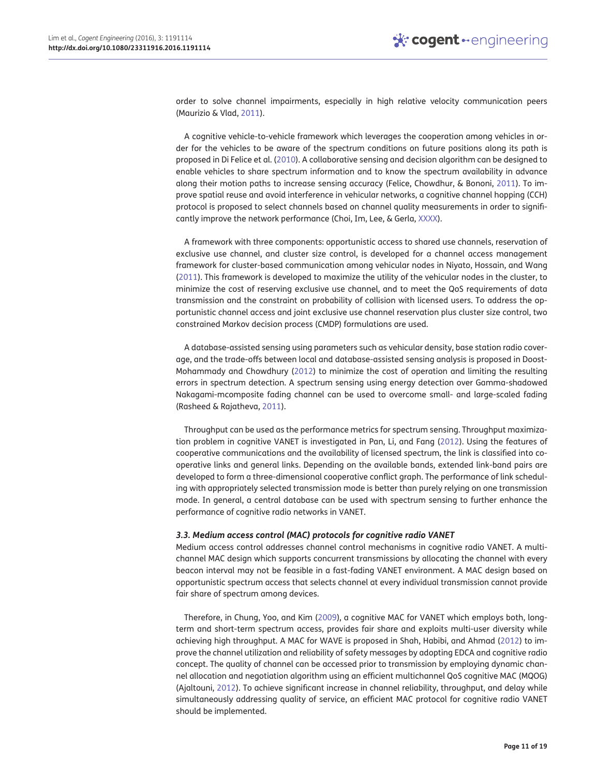<span id="page-10-5"></span>order to solve channel impairments, especially in high relative velocity communication peers (Maurizio & Vlad, [2011\)](#page-17-21).

<span id="page-10-4"></span>A cognitive vehicle-to-vehicle framework which leverages the cooperation among vehicles in order for the vehicles to be aware of the spectrum conditions on future positions along its path is proposed in Di Felice et al. ([2010](#page-16-3)). A collaborative sensing and decision algorithm can be designed to enable vehicles to share spectrum information and to know the spectrum availability in advance along their motion paths to increase sensing accuracy (Felice, Chowdhur, & Bononi, [2011](#page-16-28)). To improve spatial reuse and avoid interference in vehicular networks, a cognitive channel hopping (CCH) protocol is proposed to select channels based on channel quality measurements in order to significantly improve the network performance (Choi, Im, Lee, & Gerla, [XXXX](#page-16-29)).

<span id="page-10-6"></span><span id="page-10-1"></span>A framework with three components: opportunistic access to shared use channels, reservation of exclusive use channel, and cluster size control, is developed for a channel access management framework for cluster-based communication among vehicular nodes in Niyato, Hossain, and Wang ([2011](#page-17-22)). This framework is developed to maximize the utility of the vehicular nodes in the cluster, to minimize the cost of reserving exclusive use channel, and to meet the QoS requirements of data transmission and the constraint on probability of collision with licensed users. To address the opportunistic channel access and joint exclusive use channel reservation plus cluster size control, two constrained Markov decision process (CMDP) formulations are used.

<span id="page-10-3"></span>A database-assisted sensing using parameters such as vehicular density, base station radio coverage, and the trade-offs between local and database-assisted sensing analysis is proposed in Doost-Mohammady and Chowdhury ([2012](#page-16-30)) to minimize the cost of operation and limiting the resulting errors in spectrum detection. A spectrum sensing using energy detection over Gamma-shadowed Nakagami-mcomposite fading channel can be used to overcome small- and large-scaled fading (Rasheed & Rajatheva, [2011\)](#page-17-23).

<span id="page-10-8"></span><span id="page-10-7"></span>Throughput can be used as the performance metrics for spectrum sensing. Throughput maximization problem in cognitive VANET is investigated in Pan, Li, and Fang [\(2012\)](#page-17-24). Using the features of cooperative communications and the availability of licensed spectrum, the link is classified into cooperative links and general links. Depending on the available bands, extended link-band pairs are developed to form a three-dimensional cooperative conflict graph. The performance of link scheduling with appropriately selected transmission mode is better than purely relying on one transmission mode. In general, a central database can be used with spectrum sensing to further enhance the performance of cognitive radio networks in VANET.

#### *3.3. Medium access control (MAC) protocols for cognitive radio VANET*

Medium access control addresses channel control mechanisms in cognitive radio VANET. A multichannel MAC design which supports concurrent transmissions by allocating the channel with every beacon interval may not be feasible in a fast-fading VANET environment. A MAC design based on opportunistic spectrum access that selects channel at every individual transmission cannot provide fair share of spectrum among devices.

<span id="page-10-9"></span><span id="page-10-2"></span><span id="page-10-0"></span>Therefore, in Chung, Yoo, and Kim [\(2009](#page-16-31)), a cognitive MAC for VANET which employs both, longterm and short-term spectrum access, provides fair share and exploits multi-user diversity while achieving high throughput. A MAC for WAVE is proposed in Shah, Habibi, and Ahmad ([2012](#page-18-19)) to improve the channel utilization and reliability of safety messages by adopting EDCA and cognitive radio concept. The quality of channel can be accessed prior to transmission by employing dynamic channel allocation and negotiation algorithm using an efficient multichannel QoS cognitive MAC (MQOG) (Ajaltouni, [2012](#page-15-11)). To achieve significant increase in channel reliability, throughput, and delay while simultaneously addressing quality of service, an efficient MAC protocol for cognitive radio VANET should be implemented.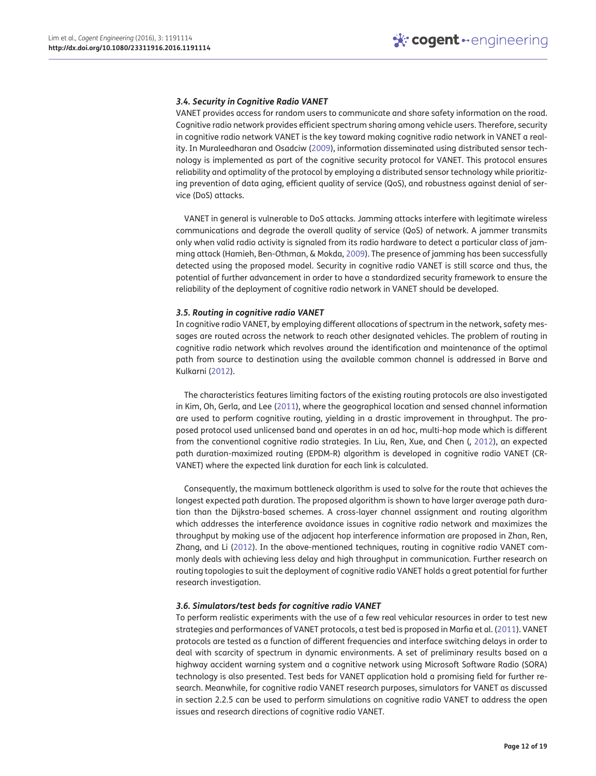## *3.4. Security in Cognitive Radio VANET*

<span id="page-11-5"></span>VANET provides access for random users to communicate and share safety information on the road. Cognitive radio network provides efficient spectrum sharing among vehicle users. Therefore, security in cognitive radio network VANET is the key toward making cognitive radio network in VANET a reality. In Muraleedharan and Osadciw ([2009\)](#page-17-25), information disseminated using distributed sensor technology is implemented as part of the cognitive security protocol for VANET. This protocol ensures reliability and optimality of the protocol by employing a distributed sensor technology while prioritizing prevention of data aging, efficient quality of service (QoS), and robustness against denial of service (DoS) attacks.

<span id="page-11-1"></span>VANET in general is vulnerable to DoS attacks. Jamming attacks interfere with legitimate wireless communications and degrade the overall quality of service (QoS) of network. A jammer transmits only when valid radio activity is signaled from its radio hardware to detect a particular class of jamming attack (Hamieh, Ben-Othman, & Mokda, [2009](#page-16-32)). The presence of jamming has been successfully detected using the proposed model. Security in cognitive radio VANET is still scarce and thus, the potential of further advancement in order to have a standardized security framework to ensure the reliability of the deployment of cognitive radio network in VANET should be developed.

#### *3.5. Routing in cognitive radio VANET*

In cognitive radio VANET, by employing different allocations of spectrum in the network, safety messages are routed across the network to reach other designated vehicles. The problem of routing in cognitive radio network which revolves around the identification and maintenance of the optimal path from source to destination using the available common channel is addressed in Barve and Kulkarni [\(2012](#page-18-20)).

<span id="page-11-6"></span><span id="page-11-3"></span><span id="page-11-2"></span>The characteristics features limiting factors of the existing routing protocols are also investigated in Kim, Oh, Gerla, and Lee [\(2011](#page-17-26)), where the geographical location and sensed channel information are used to perform cognitive routing, yielding in a drastic improvement in throughput. The proposed protocol used unlicensed band and operates in an ad hoc, multi-hop mode which is different from the conventional cognitive radio strategies. In Liu, Ren, Xue, and Chen (, [2012](#page-17-27)), an expected path duration-maximized routing (EPDM-R) algorithm is developed in cognitive radio VANET (CR-VANET) where the expected link duration for each link is calculated.

<span id="page-11-7"></span>Consequently, the maximum bottleneck algorithm is used to solve for the route that achieves the longest expected path duration. The proposed algorithm is shown to have larger average path duration than the Dijkstra-based schemes. A cross-layer channel assignment and routing algorithm which addresses the interference avoidance issues in cognitive radio network and maximizes the throughput by making use of the adjacent hop interference information are proposed in Zhan, Ren, Zhang, and Li ([2012](#page-18-21)). In the above-mentioned techniques, routing in cognitive radio VANET commonly deals with achieving less delay and high throughput in communication. Further research on routing topologies to suit the deployment of cognitive radio VANET holds a great potential for further research investigation.

## *3.6. Simulators/test beds for cognitive radio VANET*

<span id="page-11-4"></span><span id="page-11-0"></span>To perform realistic experiments with the use of a few real vehicular resources in order to test new strategies and performances of VANET protocols, a test bed is proposed in Marfia et al. ([2011\)](#page-17-28). VANET protocols are tested as a function of different frequencies and interface switching delays in order to deal with scarcity of spectrum in dynamic environments. A set of preliminary results based on a highway accident warning system and a cognitive network using Microsoft Software Radio (SORA) technology is also presented. Test beds for VANET application hold a promising field for further research. Meanwhile, for cognitive radio VANET research purposes, simulators for VANET as discussed in section 2.2.5 can be used to perform simulations on cognitive radio VANET to address the open issues and research directions of cognitive radio VANET.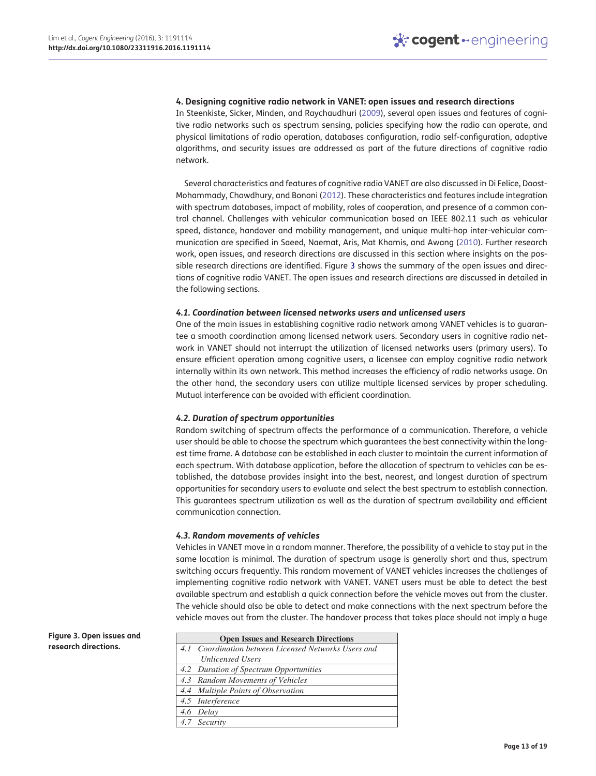## **4. Designing cognitive radio network in VANET: open issues and research directions**

<span id="page-12-3"></span>In Steenkiste, Sicker, Minden, and Raychaudhuri ([2009](#page-18-22)), several open issues and features of cognitive radio networks such as spectrum sensing, policies specifying how the radio can operate, and physical limitations of radio operation, databases configuration, radio self-configuration, adaptive algorithms, and security issues are addressed as part of the future directions of cognitive radio network.

<span id="page-12-2"></span><span id="page-12-1"></span>Several characteristics and features of cognitive radio VANET are also discussed in Di Felice, Doost-Mohammady, Chowdhury, and Bononi ([2012\)](#page-16-33). These characteristics and features include integration with spectrum databases, impact of mobility, roles of cooperation, and presence of a common control channel. Challenges with vehicular communication based on IEEE 802.11 such as vehicular speed, distance, handover and mobility management, and unique multi-hop inter-vehicular communication are specified in Saeed, Naemat, Aris, Mat Khamis, and Awang [\(2010\)](#page-17-29). Further research work, open issues, and research directions are discussed in this section where insights on the possible research directions are identified. Figure [3](#page-12-0) shows the summary of the open issues and directions of cognitive radio VANET. The open issues and research directions are discussed in detailed in the following sections.

#### *4.1. Coordination between licensed networks users and unlicensed users*

One of the main issues in establishing cognitive radio network among VANET vehicles is to guarantee a smooth coordination among licensed network users. Secondary users in cognitive radio network in VANET should not interrupt the utilization of licensed networks users (primary users). To ensure efficient operation among cognitive users, a licensee can employ cognitive radio network internally within its own network. This method increases the efficiency of radio networks usage. On the other hand, the secondary users can utilize multiple licensed services by proper scheduling. Mutual interference can be avoided with efficient coordination.

## *4.2. Duration of spectrum opportunities*

Random switching of spectrum affects the performance of a communication. Therefore, a vehicle user should be able to choose the spectrum which guarantees the best connectivity within the longest time frame. A database can be established in each cluster to maintain the current information of each spectrum. With database application, before the allocation of spectrum to vehicles can be established, the database provides insight into the best, nearest, and longest duration of spectrum opportunities for secondary users to evaluate and select the best spectrum to establish connection. This guarantees spectrum utilization as well as the duration of spectrum availability and efficient communication connection.

#### *4.3. Random movements of vehicles*

Vehicles in VANET move in a random manner. Therefore, the possibility of a vehicle to stay put in the same location is minimal. The duration of spectrum usage is generally short and thus, spectrum switching occurs frequently. This random movement of VANET vehicles increases the challenges of implementing cognitive radio network with VANET. VANET users must be able to detect the best available spectrum and establish a quick connection before the vehicle moves out from the cluster. The vehicle should also be able to detect and make connections with the next spectrum before the vehicle moves out from the cluster. The handover process that takes place should not imply a huge

<span id="page-12-0"></span>**Figure 3. Open issues and research directions.**

| <b>Open Issues and Research Directions</b> |                                                      |  |
|--------------------------------------------|------------------------------------------------------|--|
|                                            | 4.1 Coordination between Licensed Networks Users and |  |
|                                            | Unlicensed Users                                     |  |
|                                            | 4.2 Duration of Spectrum Opportunities               |  |
|                                            | 4.3 Random Movements of Vehicles                     |  |
|                                            | 4.4 Multiple Points of Observation                   |  |
|                                            | 4.5 Interference                                     |  |
|                                            | 4.6 Delay                                            |  |
|                                            | 4.7 Security                                         |  |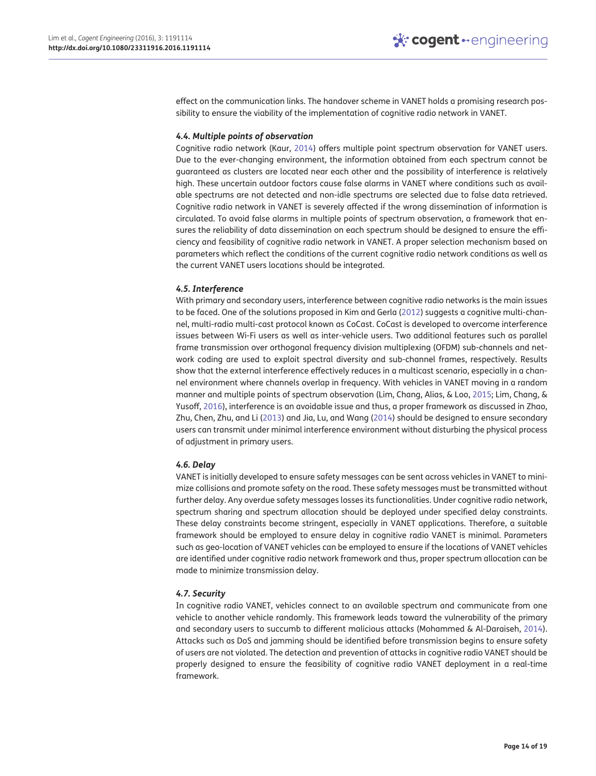effect on the communication links. The handover scheme in VANET holds a promising research possibility to ensure the viability of the implementation of cognitive radio network in VANET.

## *4.4. Multiple points of observation*

<span id="page-13-2"></span>Cognitive radio network (Kaur, [2014](#page-17-30)) offers multiple point spectrum observation for VANET users. Due to the ever-changing environment, the information obtained from each spectrum cannot be guaranteed as clusters are located near each other and the possibility of interference is relatively high. These uncertain outdoor factors cause false alarms in VANET where conditions such as available spectrums are not detected and non-idle spectrums are selected due to false data retrieved. Cognitive radio network in VANET is severely affected if the wrong dissemination of information is circulated. To avoid false alarms in multiple points of spectrum observation, a framework that ensures the reliability of data dissemination on each spectrum should be designed to ensure the efficiency and feasibility of cognitive radio network in VANET. A proper selection mechanism based on parameters which reflect the conditions of the current cognitive radio network conditions as well as the current VANET users locations should be integrated.

## *4.5. Interference*

<span id="page-13-3"></span>With primary and secondary users, interference between cognitive radio networks is the main issues to be faced. One of the solutions proposed in Kim and Gerla ([2012](#page-17-31)) suggests a cognitive multi-channel, multi-radio multi-cast protocol known as CoCast. CoCast is developed to overcome interference issues between Wi-Fi users as well as inter-vehicle users. Two additional features such as parallel frame transmission over orthogonal frequency division multiplexing (OFDM) sub-channels and network coding are used to exploit spectral diversity and sub-channel frames, respectively. Results show that the external interference effectively reduces in a multicast scenario, especially in a channel environment where channels overlap in frequency. With vehicles in VANET moving in a random manner and multiple points of spectrum observation (Lim, Chang, Alias, & Loo, [2015;](#page-17-32) Lim, Chang, & Yusoff, [2016](#page-17-33)), interference is an avoidable issue and thus, a proper framework as discussed in Zhao, Zhu, Chen, Zhu, and Li ([2013](#page-18-23)) and Jia, Lu, and Wang ([2014](#page-16-34)) should be designed to ensure secondary users can transmit under minimal interference environment without disturbing the physical process of adjustment in primary users.

## <span id="page-13-7"></span><span id="page-13-5"></span><span id="page-13-4"></span><span id="page-13-1"></span>*4.6. Delay*

VANET is initially developed to ensure safety messages can be sent across vehicles in VANET to minimize collisions and promote safety on the road. These safety messages must be transmitted without further delay. Any overdue safety messages losses its functionalities. Under cognitive radio network, spectrum sharing and spectrum allocation should be deployed under specified delay constraints. These delay constraints become stringent, especially in VANET applications. Therefore, a suitable framework should be employed to ensure delay in cognitive radio VANET is minimal. Parameters such as geo-location of VANET vehicles can be employed to ensure if the locations of VANET vehicles are identified under cognitive radio network framework and thus, proper spectrum allocation can be made to minimize transmission delay.

## *4.7. Security*

<span id="page-13-6"></span><span id="page-13-0"></span>In cognitive radio VANET, vehicles connect to an available spectrum and communicate from one vehicle to another vehicle randomly. This framework leads toward the vulnerability of the primary and secondary users to succumb to different malicious attacks (Mohammed & Al-Daraiseh, [2014](#page-17-34)). Attacks such as DoS and jamming should be identified before transmission begins to ensure safety of users are not violated. The detection and prevention of attacks in cognitive radio VANET should be properly designed to ensure the feasibility of cognitive radio VANET deployment in a real-time framework.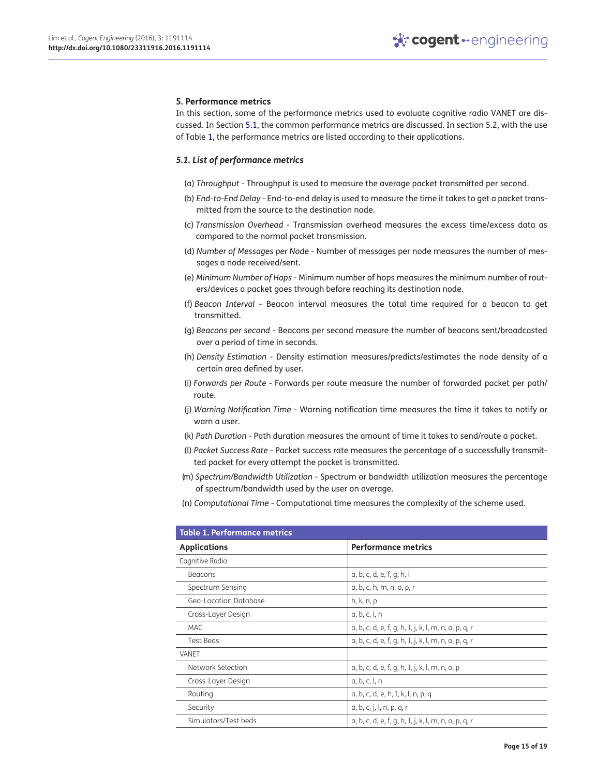## **5. Performance metrics**

<span id="page-14-0"></span>In this section, some of the performance metrics used to evaluate cognitive radio VANET are discussed. In Section [5.1,](#page-14-0) the common performance metrics are discussed. In section 5.2, with the use of Table [1](#page-14-1), the performance metrics are listed according to their applications.

## *5.1. List of performance metrics*

- (a) *Throughput* Throughput is used to measure the average packet transmitted per second.
- (b) *End-to-End Delay* End-to-end delay is used to measure the time it takes to get a packet transmitted from the source to the destination node.
- (c) *Transmission Overhead* Transmission overhead measures the excess time/excess data as compared to the normal packet transmission.
- (d) *Number of Messages per Node* Number of messages per node measures the number of messages a node received/sent.
- (e) *Minimum Number of Hops* Minimum number of hops measures the minimum number of routers/devices a packet goes through before reaching its destination node.
- (f) *Beacon Interval* Beacon interval measures the total time required for a beacon to get transmitted.
- (g) *Beacons per second* Beacons per second measure the number of beacons sent/broadcasted over a period of time in seconds.
- (h) *Density Estimation* Density estimation measures/predicts/estimates the node density of a certain area defined by user.
- (i) *Forwards per Route* Forwards per route measure the number of forwarded packet per path/ route.
- (j) *Warning Notification Time* Warning notification time measures the time it takes to notify or warn a user.
- (k) *Path Duration* Path duration measures the amount of time it takes to send/route a packet.
- (l) *Packet Success Rate* Packet success rate measures the percentage of a successfully transmitted packet for every attempt the packet is transmitted.
- (m) *Spectrum/Bandwidth Utilization* Spectrum or bandwidth utilization measures the percentage of spectrum/bandwidth used by the user on average.
- (n) *Computational Time* Computational time measures the complexity of the scheme used.

<span id="page-14-1"></span>

| <b>Table 1. Performance metrics</b> |                                                      |  |
|-------------------------------------|------------------------------------------------------|--|
| <b>Applications</b>                 | <b>Performance metrics</b>                           |  |
| Cognitive Radio                     |                                                      |  |
| <b>Beacons</b>                      | a, b, c, d, e, f, g, h, i                            |  |
| Spectrum Sensing                    | a, b, c, h, m, n, o, p, r                            |  |
| Geo-Location Database               | h, k, n, p                                           |  |
| Cross-Layer Design                  | a, b, c, l, n                                        |  |
| <b>MAC</b>                          | a, b, c, d, e, f, g, h, I, j, k, l, m, n, o, p, q, r |  |
| Test Beds                           | a, b, c, d, e, f, g, h, I, j, k, l, m, n, o, p, q, r |  |
| VANET                               |                                                      |  |
| Network Selection                   | a, b, c, d, e, f, g, h, I, j, k, l, m, n, o, p       |  |
| Cross-Layer Design                  | a, b, c, l, n                                        |  |
| Routing                             | a, b, c, d, e, h, I, k, l, n, p, q                   |  |
| Security                            | a, b, c, j, l, n, p, q, r                            |  |
| Simulators/Test beds                | a, b, c, d, e, f, g, h, I, j, k, l, m, n, o, p, q, r |  |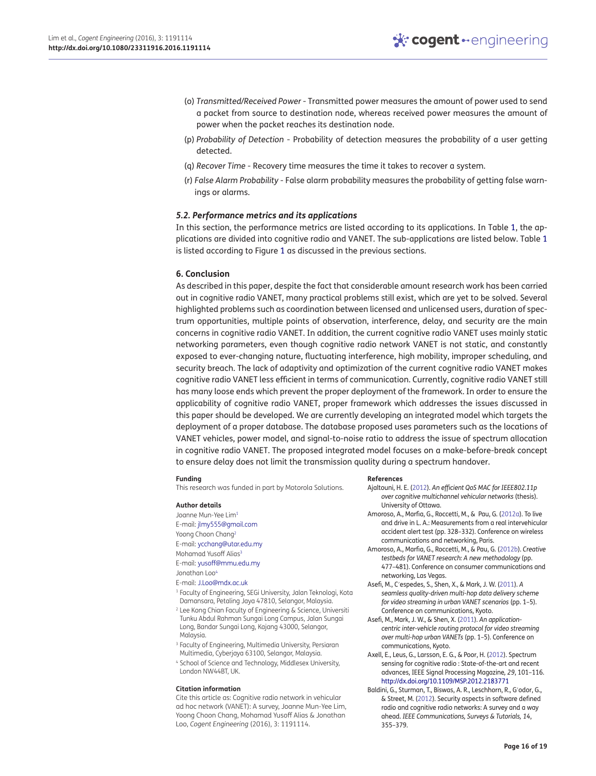- (o) *Transmitted/Received Power* Transmitted power measures the amount of power used to send a packet from source to destination node, whereas received power measures the amount of power when the packet reaches its destination node.
- (p) *Probability of Detection* Probability of detection measures the probability of a user getting detected.
- (q) *Recover Time* Recovery time measures the time it takes to recover a system.
- (r) *False Alarm Probability* False alarm probability measures the probability of getting false warnings or alarms.

## *5.2. Performance metrics and its applications*

In this section, the performance metrics are listed according to its applications. In Table [1](#page-14-1), the applications are divided into cognitive radio and VANET. The sub-applications are listed below. Table [1](#page-14-1) is listed according to Figure [1](#page-2-1) as discussed in the previous sections.

## <span id="page-15-4"></span>**6. Conclusion**

As described in this paper, despite the fact that considerable amount research work has been carried out in cognitive radio VANET, many practical problems still exist, which are yet to be solved. Several highlighted problems such as coordination between licensed and unlicensed users, duration of spectrum opportunities, multiple points of observation, interference, delay, and security are the main concerns in cognitive radio VANET. In addition, the current cognitive radio VANET uses mainly static networking parameters, even though cognitive radio network VANET is not static, and constantly exposed to ever-changing nature, fluctuating interference, high mobility, improper scheduling, and security breach. The lack of adaptivity and optimization of the current cognitive radio VANET makes cognitive radio VANET less efficient in terms of communication. Currently, cognitive radio VANET still has many loose ends which prevent the proper deployment of the framework. In order to ensure the applicability of cognitive radio VANET, proper framework which addresses the issues discussed in this paper should be developed. We are currently developing an integrated model which targets the deployment of a proper database. The database proposed uses parameters such as the locations of VANET vehicles, power model, and signal-to-noise ratio to address the issue of spectrum allocation in cognitive radio VANET. The proposed integrated model focuses on a make-before-break concept to ensure delay does not limit the transmission quality during a spectrum handover.

#### **Funding**

This research was funded in part by Motorola Solutions.

#### **Author details**

Joanne Mun-Yee Lim[1](#page-0-1) E-mail: [jlmy555@gmail.com](mailto:jlmy555@gmail.com) Yoong Choon Chang<sup>2</sup> E-mail: [ycchang@utar.edu.my](mailto:ycchang@utar.edu.my) Mohamad Yusoff Alias<sup>[3](#page-0-1)</sup> E-mail: [yusoff@mmu.edu.my](mailto:yusoff@mmu.edu.my)

Jonathan Lo[o4](#page-0-1)

E-mail: [J.Loo@mdx.ac.uk](mailto:J.Loo@mdx.ac.uk)

<span id="page-15-0"></span><sup>1</sup> Faculty of Engineering, SEGi University, Jalan Teknologi, Kota Damansara, Petaling Jaya 47810, Selangor, Malaysia.

- <span id="page-15-1"></span><sup>2</sup> Lee Kong Chian Faculty of Engineering & Science, Universiti Tunku Abdul Rahman Sungai Long Campus, Jalan Sungai Long, Bandar Sungai Long, Kajang 43000, Selangor, Malaysia.
- <span id="page-15-2"></span><sup>3</sup> Faculty of Engineering, Multimedia University, Persiaran Multimedia, Cyberjaya 63100, Selangor, Malaysia.
- <span id="page-15-3"></span><sup>4</sup> School of Science and Technology, Middlesex University, London NW44BT, UK.

#### **Citation information**

Cite this article as: Cognitive radio network in vehicular ad hoc network (VANET): A survey, Joanne Mun-Yee Lim, Yoong Choon Chang, Mohamad Yusoff Alias & Jonathan Loo, *Cogent Engineering* (2016), 3: 1191114.

#### **References**

- <span id="page-15-11"></span>Ajaltouni, H. E. ([2012\)](#page-10-0). *An efficient QoS MAC for IEEE802.11p over cognitive multichannel vehicular networks* (thesis). University of Ottawa.
- <span id="page-15-9"></span>Amoroso, A., Marfia, G., Roccetti, M., & Pau, G. ([2012a](#page-8-2)). To live and drive in L. A.: Measurements from a real intervehicular accident alert test (pp. 328–332). Conference on wireless communications and networking, Paris.
- <span id="page-15-10"></span>Amoroso, A., Marfia, G., Roccetti, M., & Pau, G. [\(2012b\)](#page-8-3). *Creative testbeds for VANET research: A new methodology* (pp. 477–481). Conference on consumer communications and networking, Las Vegas.
- <span id="page-15-7"></span>Asefi, M., C′espedes, S., Shen, X., & Mark, J. W. [\(2011\)](#page-6-0). *A seamless quality-driven multi-hop data delivery scheme for video streaming in urban VANET scenarios* (pp. 1–5). Conference on communications, Kyoto.
- <span id="page-15-8"></span>Asefi, M., Mark, J. W., & Shen, X. [\(2011](#page-7-0)). *An applicationcentric inter-vehicle routing protocol for video streaming over multi-hop urban VANETs* (pp. 1–5). Conference on communications, Kyoto.
- <span id="page-15-5"></span>Axell, E., Leus, G., Larsson, E. G., & Poor, H. [\(2012\)](#page-3-0). Spectrum sensing for cognitive radio : State-of-the-art and recent advances, IEEE Signal Processing Magazine*, 29*, 101–116. <http://dx.doi.org/10.1109/MSP.2012.2183771>
- <span id="page-15-6"></span>Baldini, G., Sturman, T., Biswas, A. R., Leschhorn, R., G′odor, G., & Street, M. [\(2012](#page-4-0)). Security aspects in software defined radio and cognitive radio networks: A survey and a way ahead. *IEEE Communications, Surveys & Tutorials, 14*, 355–379.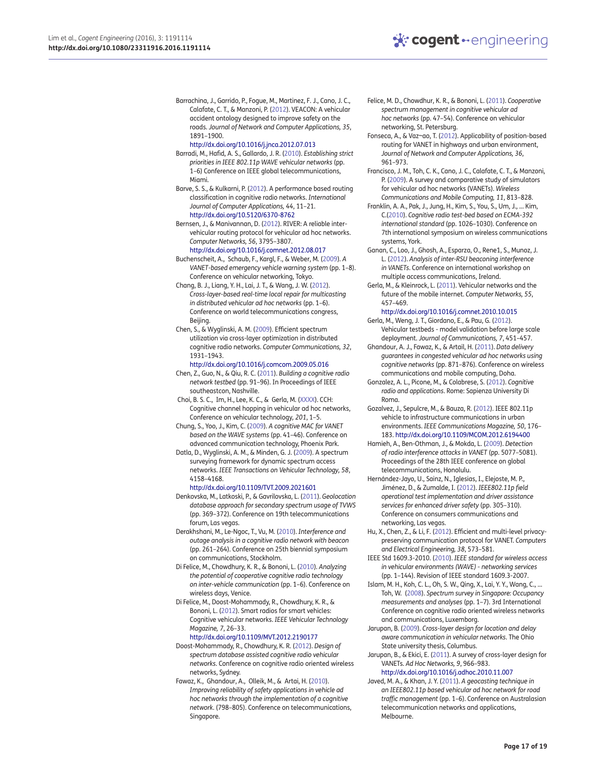<span id="page-16-4"></span>Barrachina, J., Garrido, P., Fogue, M., Martinez, F. J., Cano, J. C., Calafate, C. T., & Manzoni, P. [\(2012\)](#page-1-0). VEACON: A vehicular accident ontology designed to improve safety on the roads. *Jour[na](http://dx.doi.org/10.1016/j.jnca.2012.07.013)l of Network and Computer Applications, 35*, 1891–1900.

#### <http://dx.doi.org/10.1016/j.jnca.2012.07.013>

- <span id="page-16-13"></span>Barradi, M., Hafid, A. S., Gallardo, J. R. ([2010\)](#page-6-1). *Establishing strict priorities in IEEE 802.11p WAVE vehicular networks* (pp. 1–6) Conference on IEEE global telecommunications, Miami.
- <span id="page-16-20"></span>Barve, S. S., & Kulkarni, P. [\(2012](#page-7-1)). A performance based routing classification in cognitive radio networks. *In[te](http://dx.doi.org/10.5120/6370-8762)rnational Journal of Computer Applications, 44*, 11–21. <http://dx.doi.org/10.5120/6370-8762>
- <span id="page-16-24"></span>Bernsen, J., & Manivannan, D. [\(2012](#page-8-4)). RIVER: A reliable intervehicular routing protocol for vehicular ad hoc networks. *Computer Networks, 56*, 3795–3807[.](http://dx.doi.org/10.1016/j.comnet.2012.08.017) <http://dx.doi.org/10.1016/j.comnet.2012.08.017>
- <span id="page-16-17"></span>Buchenscheit, A., Schaub, F., Kargl, F., & Weber, M. [\(2009](#page-6-2)). *A VANET-based emergency vehicle warning system* (pp. 1–8). Conference on vehicular networking, Tokyo.
- <span id="page-16-7"></span>Chang, B. J., Liang, Y. H., Lai, J. T., & Wang, J. W. [\(2012\)](#page-4-1). *Cross-layer-based real-time local repair for multicasting in distributed vehicular ad hoc networks* (pp. 1–6). Conference on world telecommunications congress, Beijing.
- <span id="page-16-8"></span>Chen, S., & Wyglinski, A. M. [\(2009\)](#page-5-0). Efficient spectrum utilization via cross-layer optimization in distributed cognitive ra[d](http://dx.doi.org/10.1016/j.comcom.2009.05.016)io networks. *Computer Communications, 32*, 1931–1943.
	- <http://dx.doi.org/10.1016/j.comcom.2009.05.016>
- <span id="page-16-29"></span>Chen, Z., Guo, N., & Qiu, R. C. [\(2011](#page-10-1)). *Building a cognitive radio network testbed* (pp. 91–96). In Proceedings of IEEE southeastcon, Nashville.
- <span id="page-16-31"></span> Choi, B. S. C., Im, H., Lee, K. C., & Gerla, M. ([XXXX\)](#page-10-2). CCH: Cognitive channel hopping in vehicular ad hoc networks, Conference on vehicular technology*, 201*, 1–5.
- <span id="page-16-2"></span>Chung, S., Yoo, J., Kim, C. ([2009\)](#page-1-1). *A cognitive MAC for VANET based on the WAVE systems* (pp. 41–46). Conference on advanced communication technology, Phoenix Park.
- <span id="page-16-6"></span>Datla, D., Wyglinski, A. M., & Minden, G. J. [\(2009](#page-3-1)). A spectrum surveying framework for dynamic spectrum access networks. *I[E](http://dx.doi.org/10.1109/TVT.2009.2021601)EE Transactions on Vehicular Technology, 58*, 4158–4168.

<http://dx.doi.org/10.1109/TVT.2009.2021601>

- <span id="page-16-5"></span>Denkovska, M., Latkoski, P., & Gavrilovska, L. ([2011](#page-2-2)). *Geolocation database approach for secondary spectrum usage of TVWS* (pp. 369–372). Conference on 19th telecommunications forum, Las vegas.
- <span id="page-16-3"></span>Derakhshani, M., Le-Ngoc, T., Vu, M. [\(2010](#page-1-2)). *Interference and outage analysis in a cognitive radio network with beacon* (pp. 261–264). Conference on 25th biennial symposium on communications, Stockholm.
- <span id="page-16-33"></span>Di Felice, M., Chowdhury, K. R., & Bononi, L. [\(2010](#page-12-1)). *Analyzing the potential of cooperative cognitive radio technology on inter-vehicle communication* (pp. 1–6). Conference on wireless days, Venice.
- <span id="page-16-30"></span>Di Felice, M., Doost-Mohammady, R., Chowdhury, K. R., & Bononi, L. [\(2012](#page-10-3)). Smart radios for smart vehicles: Cognitive vehicular networks. *IEEE Vehicular Technology Magazine, 7*, 26–33[.](http://dx.doi.org/10.1109/MVT.2012.2190177)

## <http://dx.doi.org/10.1109/MVT.2012.2190177>

- <span id="page-16-25"></span>Doost-Mohammady, R., Chowdhury, K. R. ([2012](#page-9-0)). *Design of spectrum database assisted cognitive radio vehicular networks*. Conference on cognitive radio oriented wireless networks, Sydney.
- <span id="page-16-28"></span>Fawaz, K., Ghandour, A., Olleik, M., & Artai, H. [\(2010\)](#page-10-4). *Improving reliability of safety applications in vehicle ad hoc networks through the implementation of a cognitive network*. (798–805). Conference on telecommunications, Singapore.
- <span id="page-16-19"></span>Felice, M. D., Chowdhur, K. R., & Bononi, L. [\(2011](#page-6-3)). *Cooperative spectrum management in cognitive vehicular ad hoc networks* (pp. 47–54). Conference on vehicular networking, St. Petersburg.
- <span id="page-16-22"></span>Fonseca, A., & Vaz~ao, T. ([2012](#page-8-5)). Applicability of position-based routing for VANET in highways and urban environment, *Journal of Network and Computer Applications, 36*, 961–973.
- <span id="page-16-9"></span>Francisco, J. M., Toh, C. K., Cano, J. C., Calafate, C. T., & Manzoni, P. [\(2009](#page-5-1)). A survey and comparative study of simulators for vehicular ad hoc networks (VANETs). *Wireless Communications and Mobile Computing, 11*, 813–828.
- <span id="page-16-21"></span>Franklin, A. A., Pak, J., Jung, H., Kim, S., You, S., Um, J., … Kim, C.[\(2010](#page-7-2)). *Cognitive radio test-bed based on ECMA-392 international standard* (pp. 1026–1030). Conference on 7th international symposium on wireless communications systems, York.
- <span id="page-16-26"></span>Ganan, C., Loo, J., Ghosh, A., Esparza, O., Rene1, S., Munoz, J. L. ([2012\)](#page-9-1). *Analysis of inter-RSU beaconing interference in VANETs*. Conference on international workshop on multiple access communications, Ireland.
- <span id="page-16-23"></span>Gerla, M., & Kleinrock, L. ([2011\)](#page-8-6). Vehicular networks and the future of the mobile internet. *Computer Networks, 55*, 457–469[.](http://dx.doi.org/10.1016/j.comnet.2010.10.015)
- <span id="page-16-27"></span><http://dx.doi.org/10.1016/j.comnet.2010.10.015> Gerla, M., Weng, J. T., Giordano, E., & Pau, G. [\(2012](#page-9-2)). Vehicular testbeds - model validation before large scale deployment. *Journal of Communications, 7*, 451–457.
- <span id="page-16-0"></span>Ghandour, A. J., Fawaz, K., & Artail, H. ([2011\)](#page-1-3). *Data delivery guarantees in congested vehicular ad hoc networks using cognitive networks* (pp. 871–876). Conference on wireless communications and mobile computing, Doha.
- <span id="page-16-15"></span>Gonzalez, A. L., Picone, M., & Colabrese, S. ([2012](#page-6-4)). *Cognitive radio and applications*. Rome: Sapienza University Di Roma.
- <span id="page-16-32"></span>Gozalvez, J., Sepulcre, M., & Bauza, R. [\(2012](#page-11-1)). IEEE 802.11p vehicle to infrastructure communications in urban environments. *IEEE Communications Magazine, 50*, 176– 183.<http://dx.doi.org/10.1109/MCOM.2012.6194400>
- <span id="page-16-12"></span>Hamieh, A., Ben-Othman, J., & Mokda, L. ([2009\)](#page-5-2). *Detection of radio interference attacks in VANET* (pp. 5077–5081). Proceedings of the 28th IEEE conference on global telecommunications, Honolulu.
- <span id="page-16-11"></span>Hernández-Jayo, U., Sainz, N., Iglesias, I., Elejoste, M. P., Jiménez, D., & Zumalde, I. [\(2012](#page-5-3)). *IEEE802.11p field operational test implementation and driver assistance services for enhanced driver safety* (pp. 305–310). Conference on consumers communications and networking, Las vegas.
- <span id="page-16-1"></span>Hu, X., Chen, Z., & Li, F. [\(2012](#page-1-4)). Efficient and multi-level privacypreserving communication protocol for VANET. *Computers and Electrical Engineering, 38*, 573–581.
- <span id="page-16-18"></span>IEEE Std 1609.3-2010. ([2010](#page-6-5)). *IEEE standard for wireless access in vehicular environments (WAVE) - networking services* (pp. 1–144). Revision of IEEE standard 1609.3-2007.
- <span id="page-16-16"></span>Islam, M. H., Koh, C. L., Oh, S. W., Qing, X., Lai, Y. Y., Wang, C., … Toh, W. [\(2008](#page-6-6)). *Spectrum survey in Singapore: Occupancy measurements and analyses* (pp. 1–7). 3rd International Conference on cognitive radio oriented wireless networks and communications, Luxemborg.
- <span id="page-16-14"></span>Jarupan, B. [\(2009\)](#page-6-7). *Cross-layer design for location and delay aware communication in vehicular networks*. The Ohio State university thesis, Columbus.
- <span id="page-16-34"></span>Jarupan, B., & Ekici, E. [\(2011](#page-13-1)). A survey of c[ro](http://dx.doi.org/10.1016/j.adhoc.2010.11.007)ss-layer design for VANETs. *Ad Hoc Networks, 9*, 966–983. <http://dx.doi.org/10.1016/j.adhoc.2010.11.007>
- <span id="page-16-10"></span>Javed, M. A., & Khan, J. Y. ([2011\)](#page-5-4). *A geocasting technique in an IEEE802.11p based vehicular ad hoc network for road traffic management* (pp. 1–6). Conference on Australasian telecommunication networks and applications, Melbourne.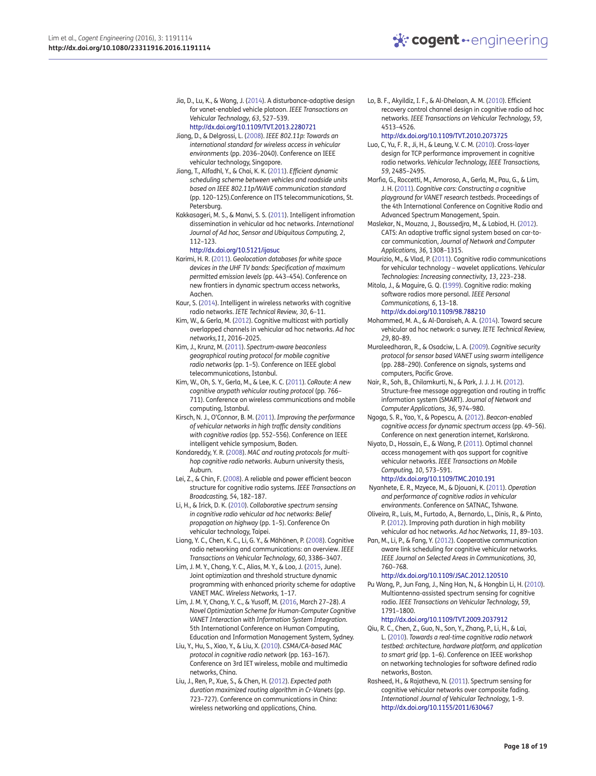<span id="page-17-13"></span>Jia, D., Lu, K., & Wang, J. [\(2014](#page-5-5)). A disturbance-adaptive design for vanet-enabled vehicle platoon. *IEEE Transactions on Vehicular Technology, 63*, 527–539[.](http://dx.doi.org/10.1109/TVT.2013.2280721)

<http://dx.doi.org/10.1109/TVT.2013.2280721>

- <span id="page-17-18"></span>Jiang, D., & Delgrossi, L. [\(2008](#page-9-3)). *IEEE 802.11p: Towards an international standard for wireless access in vehicular environments* (pp. 2036–2040). Conference on IEEE vehicular technology, Singapore.
- <span id="page-17-8"></span>Jiang, T., Alfadhl, Y., & Chai, K. K. [\(2011\)](#page-4-2). *Efficient dynamic scheduling scheme between vehicles and roadside units based on IEEE 802.11p/WAVE communication standard* (pp. 120–125).Conference on ITS telecommunications, St. Petersburg.
- <span id="page-17-30"></span>Kakkasageri, M. S., & Manvi, S. S. [\(2011](#page-13-2)). Intelligent infromation dissemination in vehicular ad hoc networks. *International Journal of Ad hoc, Sensor and Ubiquitous Computing, 2*, 112–123[.](http://dx.doi.org/10.5121/ijasuc)
	- <http://dx.doi.org/10.5121/ijasuc>
- <span id="page-17-31"></span>Karimi, H. R. [\(2011](#page-13-3)). *Geolocation databases for white space devices in the UHF TV bands: Specification of maximum permitted emission levels* (pp. 443–454). Conference on new frontiers in dynamic spectrum access networks, Aachen.
- <span id="page-17-7"></span>Kaur, S. [\(2014](#page-3-2)). Intelligent in wireless networks with cognitive radio networks. *IETE Technical Review, 30*, 6–11.
- <span id="page-17-26"></span>Kim, W., & Gerla, M. ([2012\)](#page-11-2). Cognitive multicast with partially overlapped channels in vehicular ad hoc networks. *Ad hoc networks,11*, 2016–2025.
- <span id="page-17-16"></span>Kim, J., Krunz, M. [\(2011](#page-8-7)). *Spectrum-aware beaconless geographical routing protocol for mobile cognitive radio networks* (pp. 1–5). Conference on IEEE global telecommunications, Istanbul.
- <span id="page-17-10"></span>Kim, W., Oh, S. Y., Gerla, M., & Lee, K. C. [\(2011](#page-5-6)). *CoRoute: A new cognitive anypath vehicular routing protocol* (pp. 766– 711). Conference on wireless communications and mobile computing, Istanbul.
- <span id="page-17-4"></span>Kirsch, N. J., O'Connor, B. M. [\(2011](#page-2-3)). *Improving the performance of vehicular networks in high traffic density conditions with cognitive radios* (pp. 552–556). Conference on IEEE intelligent vehicle symposium, Baden.
- <span id="page-17-19"></span>Kondareddy, Y. R. [\(2008\)](#page-9-4). *MAC and routing protocols for multihop cognitive radio networks*. Auburn university thesis, Auburn.
- <span id="page-17-2"></span>Lei, Z., & Chin, F. [\(2008](#page-1-5)). A reliable and power efficient beacon structure for cognitive radio systems. *IEEE Transactions on Broadcasting, 54*, 182–187.
- <span id="page-17-32"></span>Li, H., & Irick, D. K. [\(2010](#page-13-4)). *Collaborative spectrum sensing in cognitive radio vehicular ad hoc networks: Belief propagation on highway* (pp. 1–5). Conference On vehicular technology, Taipei.
- <span id="page-17-33"></span>Liang, Y. C., Chen, K. C., Li, G. Y., & Mähönen, P. [\(2008\)](#page-13-5). Cognitive radio networking and communications: an overview. *IEEE Transactions on Vehicular Technology, 60*, 3386–3407.
- <span id="page-17-11"></span>Lim, J. M. Y., Chang, Y. C., Alias, M. Y., & Loo, J. [\(2015](#page-5-7), June). Joint optimization and threshold structure dynamic programming with enhanced priority scheme for adaptive VANET MAC. *Wireless Networks,* 1–17.
- <span id="page-17-27"></span>Lim, J. M. Y, Chang, Y. C., & Yusoff, M. [\(2016](#page-11-3), March 27–28). *A Novel Optimization Scheme for Human-Computer Cognitive VANET Interaction with Information System Integration*. 5th International Conference on Human Computing, Education and Information Management System, Sydney.
- <span id="page-17-6"></span>Liu, Y., Hu, S., Xiao, Y., & Liu, X. [\(2010](#page-3-3)). *CSMA/CA-based MAC protocol in cognitive radio network* (pp. 163–167). Conference on 3rd IET wireless, mobile and multimedia networks, China.
- <span id="page-17-9"></span>Liu, J., Ren, P., Xue, S., & Chen, H. [\(2012](#page-4-3)). *Expected path duration maximized routing algorithm in Cr-Vanets* (pp. 723–727). Conference on communications in China: wireless networking and applications, China.

<span id="page-17-28"></span>Lo, B. F., Akyildiz, I. F., & Al-Dhelaan, A. M. [\(2010](#page-11-4)). Efficient recovery control channel design in cognitive radio ad hoc networks. *I[E](http://dx.doi.org/10.1109/TVT.2010.2073725)EE Transactions on Vehicular Technology, 59*, 4513–4526.

## <http://dx.doi.org/10.1109/TVT.2010.2073725>

- <span id="page-17-3"></span>Luo, C, Yu, F. R., Ji, H., & Leung, V. C. M. ([2010\)](#page-1-6). Cross-layer design for TCP performance improvement in cognitive radio networks. *Vehicular Technology, IEEE Transactions, 59*, 2485–2495.
- <span id="page-17-21"></span>Marfia, G., Roccetti, M., Amoroso, A., Gerla, M., Pau, G., & Lim, J. H. ([2011\)](#page-10-5). *Cognitive cars: Constructing a cognitive playground for VANET research testbeds*. Proceedings of the 4th International Conference on Cognitive Radio and Advanced Spectrum Management, Spain.
- <span id="page-17-1"></span>Maslekar, N., Mouzna, J., Boussedjra, M., & Labiod, H. [\(2012](#page-1-7)). CATS: An adaptive traffic signal system based on car-tocar communication, *Journal of Network and Computer Applications, 36*, 1308–1315.
- <span id="page-17-34"></span>Maurizio, M., & Vlad, P. [\(2011\)](#page-13-6). Cognitive radio communications for vehicular technology – wavelet applications. *Vehicular Technologies: Increasing connectivity, 13*, 223–238.
- <span id="page-17-25"></span>Mitola, J., & Maguire, G. Q. ([1999\)](#page-11-5). Cognitive radio: making software radios more personal. *IEEE Personal Communications, 6*, 13–18[.](http://dx.doi.org/10.1109/98.788210)
	- <http://dx.doi.org/10.1109/98.788210>
- <span id="page-17-15"></span>Mohammed, M. A., & Al-Daraiseh, A. A. [\(2014](#page-7-3)). Toward secure vehicular ad hoc network: a survey. *IETE Technical Review, 29*, 80–89.
- <span id="page-17-5"></span>Muraleedharan, R., & Osadciw, L. A. [\(2009](#page-3-4)). *Cognitive security protocol for sensor based VANET using swarm intelligence* (pp. 288–290). Conference on signals, systems and computers, Pacific Grove.
- <span id="page-17-22"></span>Nair, R., Soh, B., Chilamkurti, N., & Park, J. J. J. H. [\(2012](#page-10-6)). Structure-free message aggregation and routing in traffic information system (SMART). *Journal of Network and Computer Applications, 36*, 974–980.
- <span id="page-17-17"></span>Ngoga, S. R., Yao, Y., & Popescu, A. [\(2012](#page-9-5)). *Beacon-enabled cognitive access for dynamic spectrum access* (pp. 49–56). Conference on next generation internet, Karlskrona.
- <span id="page-17-14"></span>Niyato, D., Hossain, E., & Wang, P. [\(2011\)](#page-7-4). Optimal channel access management with qos support for cognitive vehicular networks. *IEEE Transactions on Mobile Computing, 10*, 573–591[.](http://dx.doi.org/10.1109/TMC.2010.191)
	- <http://dx.doi.org/10.1109/TMC.2010.191>
- <span id="page-17-24"></span> Nyanhete, E. R., Mzyece, M., & Djouani, K. [\(2011](#page-10-7)). *Operation and performance of cognitive radios in vehicular environments*. Conference on SATNAC, Tshwane.
- <span id="page-17-20"></span>Oliveira, R., Luís, M., Furtado, A., Bernardo, L., Dinis, R., & Pinto, P. [\(2012](#page-9-6)). Improving path duration in high mobility vehicular ad hoc networks. *Ad hoc Networks, 11*, 89–103.
- <span id="page-17-12"></span>Pan, M., Li, P., & Fang, Y. ([2012\)](#page-5-8). Cooperative communication aware link scheduling for cognitive vehicular networks. *IEEE Journal on Selected Areas in Communications, 30*, 760–768[.](http://dx.doi.org/10.1109/JSAC.2012.120510)
	- <http://dx.doi.org/10.1109/JSAC.2012.120510>
- <span id="page-17-23"></span>Pu Wang, P., Jun Fang, J., Ning Han, N., & Hongbin Li, H. [\(2010](#page-10-8)). Multiantenna-assisted spectrum sensing for cognitive radio. *IEEE [Tr](http://dx.doi.org/10.1109/TVT.2009.2037912)ansactions on Vehicular Technology, 59*, 1791–1800.
	- <http://dx.doi.org/10.1109/TVT.2009.2037912>
- <span id="page-17-0"></span>Qiu, R. C., Chen, Z., Guo, N., Son, Y., Zhang, P., Li, H., & Lai, L. ([2010\)](#page-1-8). *Towards a real-time cognitive radio network testbed: architecture, hardware platform, and application to smart grid* (pp. 1–6). Conference on IEEE workshop on networking technologies for software defined radio networks, Boston.
- <span id="page-17-29"></span>Rasheed, H., & Rajatheva, N. [\(2011](#page-12-2)). Spectrum sensing for cognitive vehicular networks over composite fadi[ng](http://dx.doi.org/10.1155/2011/630467). *International Journal of Vehicular Technology,* 1–9. <http://dx.doi.org/10.1155/2011/630467>